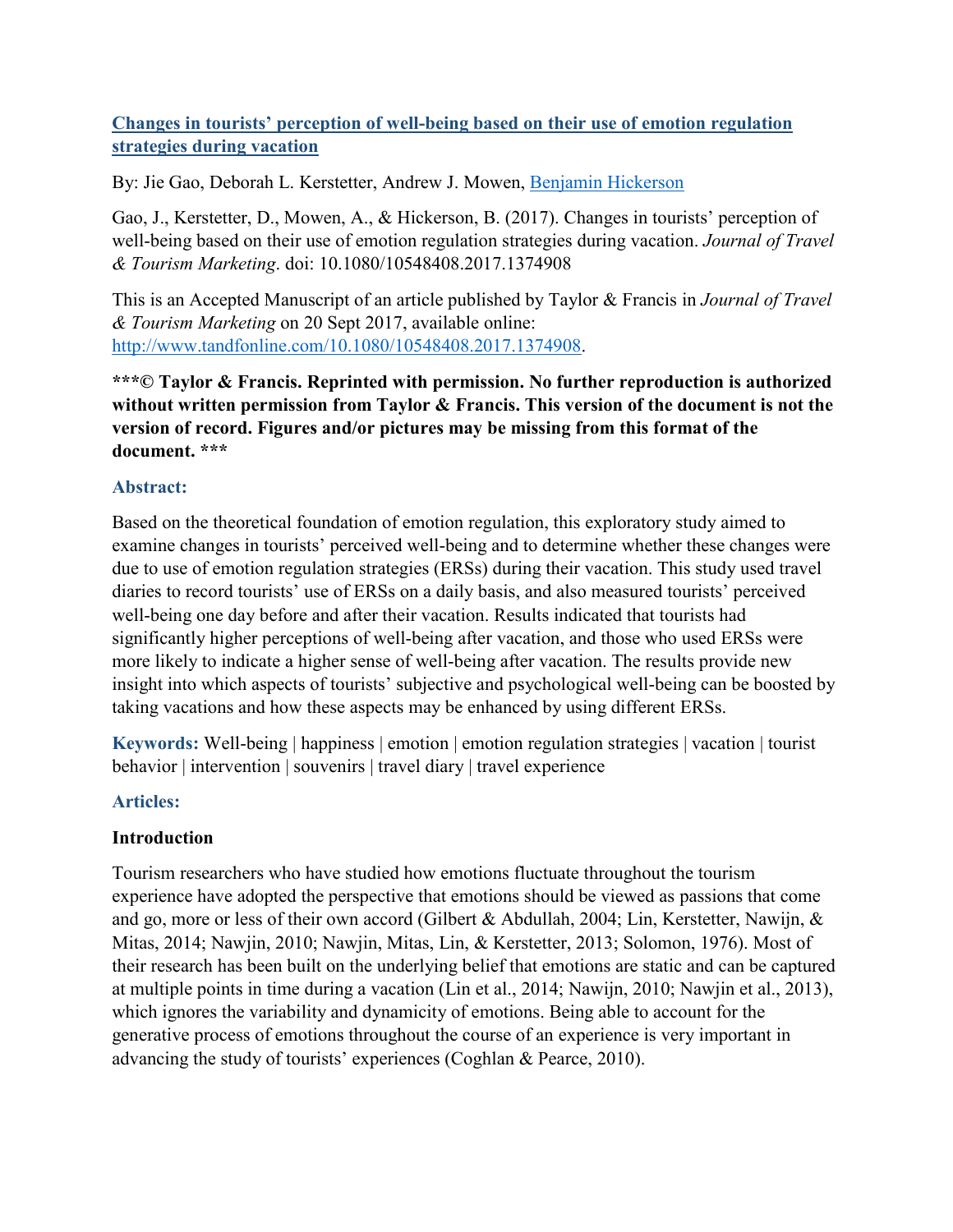# **Changes in tourists' perception of well-being based on their use of emotion regulation strategies during vacation**

By: Jie Gao, Deborah L. Kerstetter, Andrew J. Mowen, [Benjamin Hickerson](http://libres.uncg.edu/ir/uncg/clist.aspx?id=10030)

Gao, J., Kerstetter, D., Mowen, A., & Hickerson, B. (2017). Changes in tourists' perception of well-being based on their use of emotion regulation strategies during vacation. *Journal of Travel & Tourism Marketing*. doi: 10.1080/10548408.2017.1374908

This is an Accepted Manuscript of an article published by Taylor & Francis in *Journal of Travel & Tourism Marketing* on 20 Sept 2017, available online: [http://www.tandfonline.com/10.1080/10548408.2017.1374908.](http://www.tandfonline.com/10.1080/10548408.2017.1374908)

**\*\*\*© Taylor & Francis. Reprinted with permission. No further reproduction is authorized without written permission from Taylor & Francis. This version of the document is not the version of record. Figures and/or pictures may be missing from this format of the document. \*\*\***

## **Abstract:**

Based on the theoretical foundation of emotion regulation, this exploratory study aimed to examine changes in tourists' perceived well-being and to determine whether these changes were due to use of emotion regulation strategies (ERSs) during their vacation. This study used travel diaries to record tourists' use of ERSs on a daily basis, and also measured tourists' perceived well-being one day before and after their vacation. Results indicated that tourists had significantly higher perceptions of well-being after vacation, and those who used ERSs were more likely to indicate a higher sense of well-being after vacation. The results provide new insight into which aspects of tourists' subjective and psychological well-being can be boosted by taking vacations and how these aspects may be enhanced by using different ERSs.

**Keywords:** Well-being | happiness | emotion | emotion regulation strategies | vacation | tourist behavior | intervention | souvenirs | travel diary | travel experience

# **Articles:**

# **Introduction**

Tourism researchers who have studied how emotions fluctuate throughout the tourism experience have adopted the perspective that emotions should be viewed as passions that come and go, more or less of their own accord (Gilbert & Abdullah, 2004; Lin, Kerstetter, Nawijn, & Mitas, 2014; Nawjin, 2010; Nawjin, Mitas, Lin, & Kerstetter, 2013; Solomon, 1976). Most of their research has been built on the underlying belief that emotions are static and can be captured at multiple points in time during a vacation (Lin et al., 2014; Nawijn, 2010; Nawjin et al., 2013), which ignores the variability and dynamicity of emotions. Being able to account for the generative process of emotions throughout the course of an experience is very important in advancing the study of tourists' experiences (Coghlan & Pearce, 2010).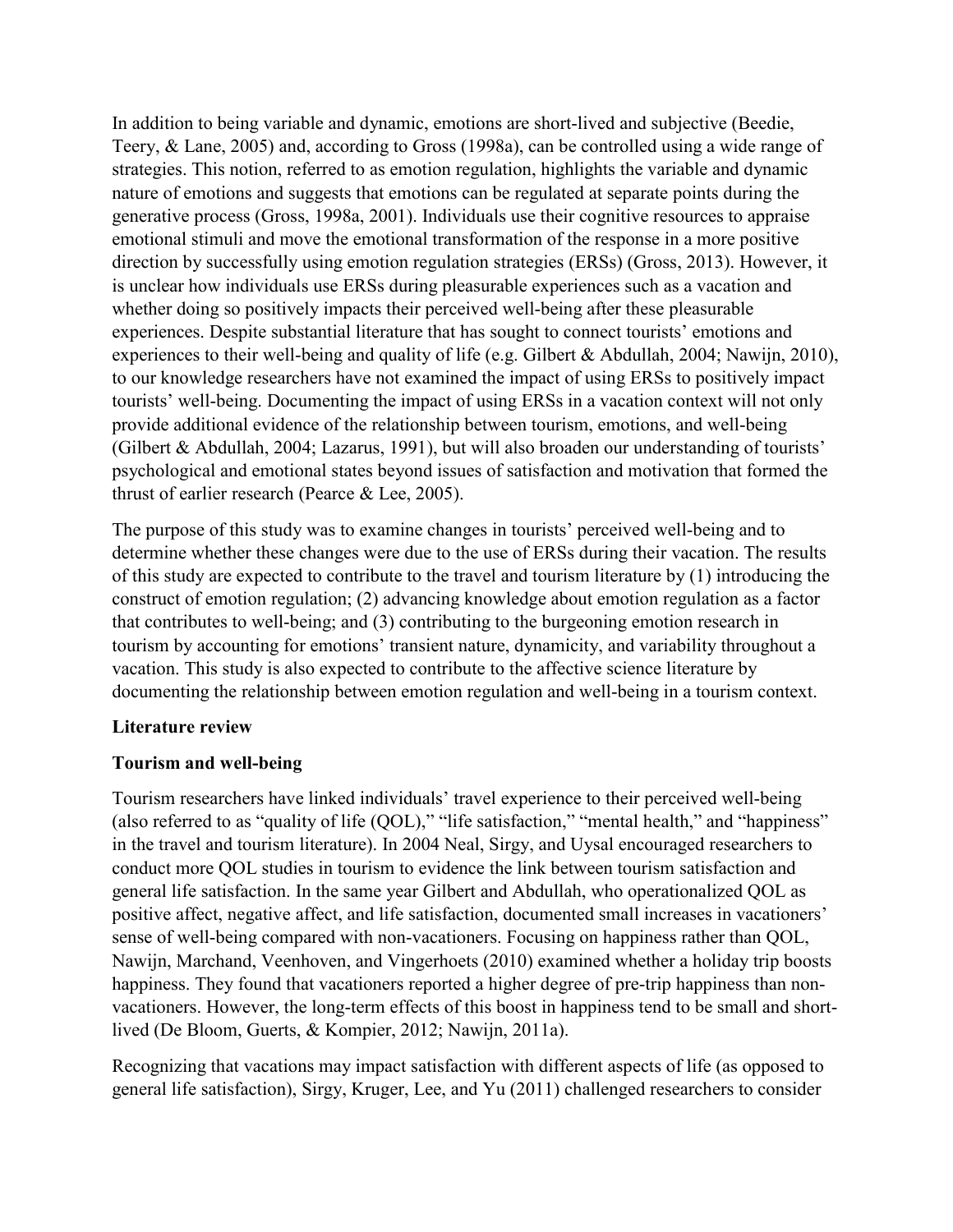In addition to being variable and dynamic, emotions are short-lived and subjective (Beedie, Teery, & Lane, 2005) and, according to Gross (1998a), can be controlled using a wide range of strategies. This notion, referred to as emotion regulation, highlights the variable and dynamic nature of emotions and suggests that emotions can be regulated at separate points during the generative process (Gross, 1998a, 2001). Individuals use their cognitive resources to appraise emotional stimuli and move the emotional transformation of the response in a more positive direction by successfully using emotion regulation strategies (ERSs) (Gross, 2013). However, it is unclear how individuals use ERSs during pleasurable experiences such as a vacation and whether doing so positively impacts their perceived well-being after these pleasurable experiences. Despite substantial literature that has sought to connect tourists' emotions and experiences to their well-being and quality of life (e.g. Gilbert & Abdullah, 2004; Nawijn, 2010), to our knowledge researchers have not examined the impact of using ERSs to positively impact tourists' well-being. Documenting the impact of using ERSs in a vacation context will not only provide additional evidence of the relationship between tourism, emotions, and well-being (Gilbert & Abdullah, 2004; Lazarus, 1991), but will also broaden our understanding of tourists' psychological and emotional states beyond issues of satisfaction and motivation that formed the thrust of earlier research (Pearce & Lee, 2005).

The purpose of this study was to examine changes in tourists' perceived well-being and to determine whether these changes were due to the use of ERSs during their vacation. The results of this study are expected to contribute to the travel and tourism literature by (1) introducing the construct of emotion regulation; (2) advancing knowledge about emotion regulation as a factor that contributes to well-being; and (3) contributing to the burgeoning emotion research in tourism by accounting for emotions' transient nature, dynamicity, and variability throughout a vacation. This study is also expected to contribute to the affective science literature by documenting the relationship between emotion regulation and well-being in a tourism context.

#### **Literature review**

### **Tourism and well-being**

Tourism researchers have linked individuals' travel experience to their perceived well-being (also referred to as "quality of life (QOL)," "life satisfaction," "mental health," and "happiness" in the travel and tourism literature). In 2004 Neal, Sirgy, and Uysal encouraged researchers to conduct more QOL studies in tourism to evidence the link between tourism satisfaction and general life satisfaction. In the same year Gilbert and Abdullah, who operationalized QOL as positive affect, negative affect, and life satisfaction, documented small increases in vacationers' sense of well-being compared with non-vacationers. Focusing on happiness rather than QOL, Nawijn, Marchand, Veenhoven, and Vingerhoets (2010) examined whether a holiday trip boosts happiness. They found that vacationers reported a higher degree of pre-trip happiness than nonvacationers. However, the long-term effects of this boost in happiness tend to be small and shortlived (De Bloom, Guerts, & Kompier, 2012; Nawijn, 2011a).

Recognizing that vacations may impact satisfaction with different aspects of life (as opposed to general life satisfaction), Sirgy, Kruger, Lee, and Yu (2011) challenged researchers to consider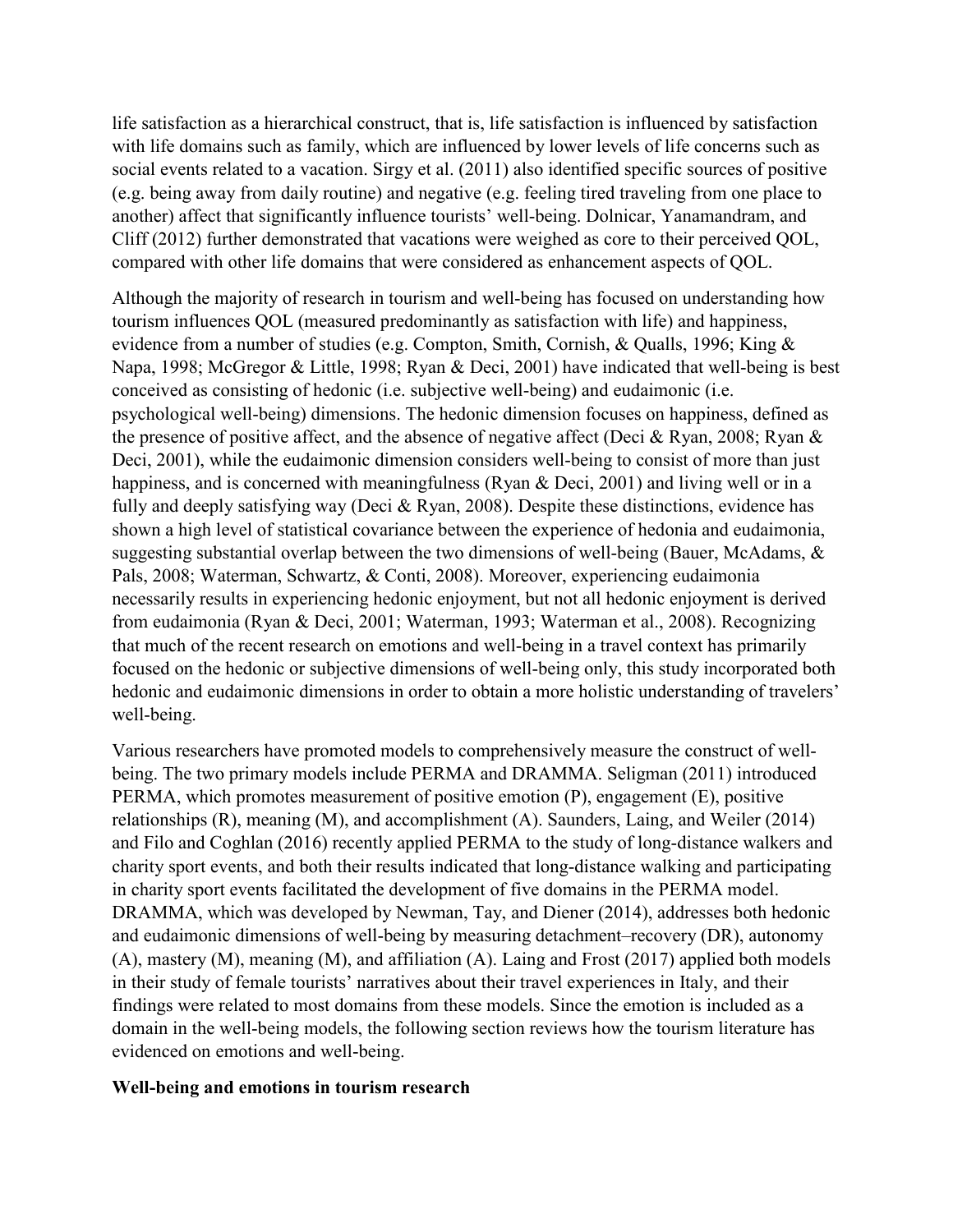life satisfaction as a hierarchical construct, that is, life satisfaction is influenced by satisfaction with life domains such as family, which are influenced by lower levels of life concerns such as social events related to a vacation. Sirgy et al. (2011) also identified specific sources of positive (e.g. being away from daily routine) and negative (e.g. feeling tired traveling from one place to another) affect that significantly influence tourists' well-being. Dolnicar, Yanamandram, and Cliff (2012) further demonstrated that vacations were weighed as core to their perceived QOL, compared with other life domains that were considered as enhancement aspects of QOL.

Although the majority of research in tourism and well-being has focused on understanding how tourism influences QOL (measured predominantly as satisfaction with life) and happiness, evidence from a number of studies (e.g. Compton, Smith, Cornish, & Qualls, 1996; King & Napa, 1998; McGregor & Little, 1998; Ryan & Deci, 2001) have indicated that well-being is best conceived as consisting of hedonic (i.e. subjective well-being) and eudaimonic (i.e. psychological well-being) dimensions. The hedonic dimension focuses on happiness, defined as the presence of positive affect, and the absence of negative affect (Deci & Ryan, 2008; Ryan & Deci, 2001), while the eudaimonic dimension considers well-being to consist of more than just happiness, and is concerned with meaningfulness (Ryan & Deci, 2001) and living well or in a fully and deeply satisfying way (Deci & Ryan, 2008). Despite these distinctions, evidence has shown a high level of statistical covariance between the experience of hedonia and eudaimonia, suggesting substantial overlap between the two dimensions of well-being (Bauer, McAdams, & Pals, 2008; Waterman, Schwartz, & Conti, 2008). Moreover, experiencing eudaimonia necessarily results in experiencing hedonic enjoyment, but not all hedonic enjoyment is derived from eudaimonia (Ryan & Deci, 2001; Waterman, 1993; Waterman et al., 2008). Recognizing that much of the recent research on emotions and well-being in a travel context has primarily focused on the hedonic or subjective dimensions of well-being only, this study incorporated both hedonic and eudaimonic dimensions in order to obtain a more holistic understanding of travelers' well-being.

Various researchers have promoted models to comprehensively measure the construct of wellbeing. The two primary models include PERMA and DRAMMA. Seligman (2011) introduced PERMA, which promotes measurement of positive emotion (P), engagement (E), positive relationships (R), meaning (M), and accomplishment (A). Saunders, Laing, and Weiler (2014) and Filo and Coghlan (2016) recently applied PERMA to the study of long-distance walkers and charity sport events, and both their results indicated that long-distance walking and participating in charity sport events facilitated the development of five domains in the PERMA model. DRAMMA, which was developed by Newman, Tay, and Diener (2014), addresses both hedonic and eudaimonic dimensions of well-being by measuring detachment–recovery (DR), autonomy (A), mastery (M), meaning (M), and affiliation (A). Laing and Frost (2017) applied both models in their study of female tourists' narratives about their travel experiences in Italy, and their findings were related to most domains from these models. Since the emotion is included as a domain in the well-being models, the following section reviews how the tourism literature has evidenced on emotions and well-being.

#### **Well-being and emotions in tourism research**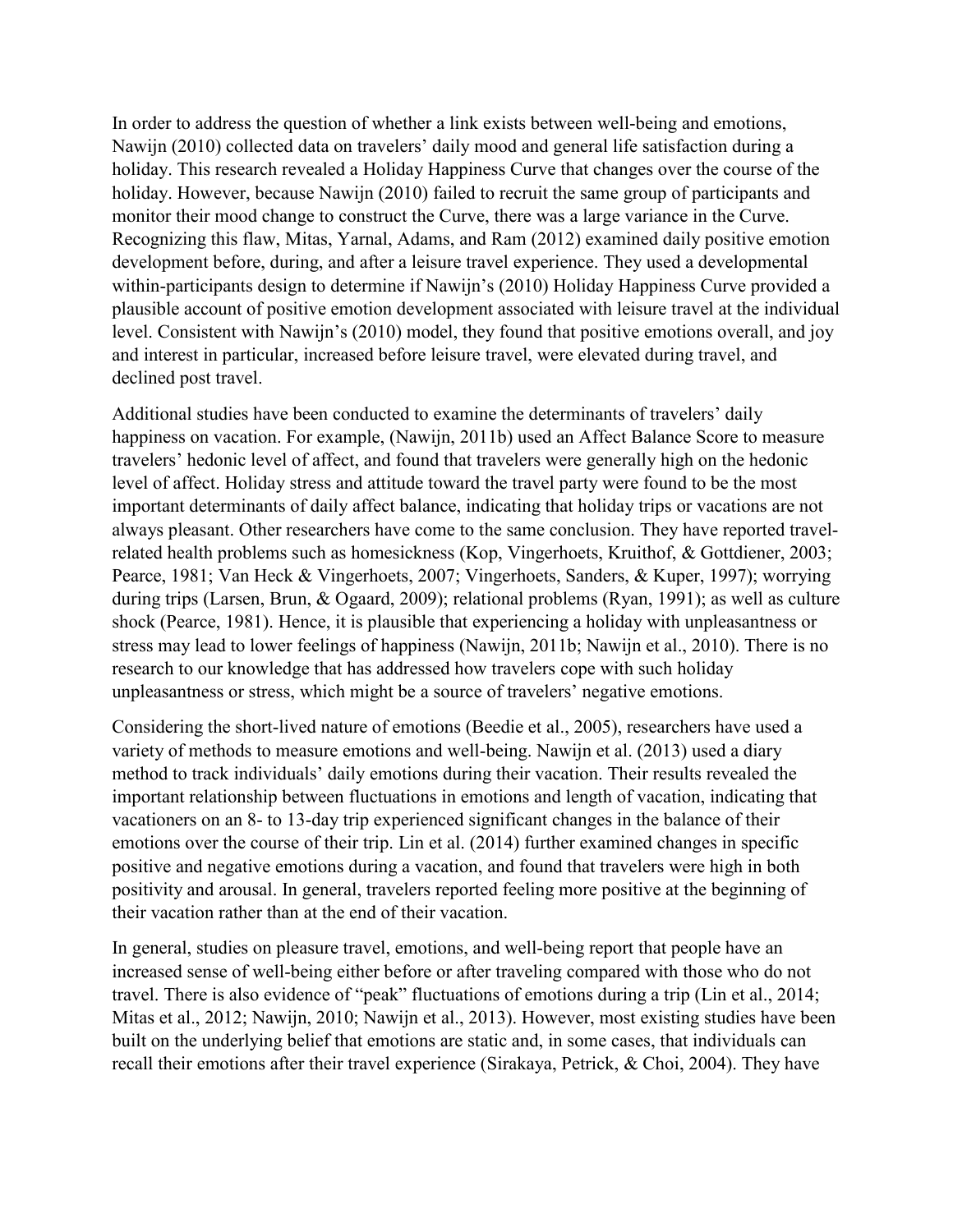In order to address the question of whether a link exists between well-being and emotions, Nawijn (2010) collected data on travelers' daily mood and general life satisfaction during a holiday. This research revealed a Holiday Happiness Curve that changes over the course of the holiday. However, because Nawijn (2010) failed to recruit the same group of participants and monitor their mood change to construct the Curve, there was a large variance in the Curve. Recognizing this flaw, Mitas, Yarnal, Adams, and Ram (2012) examined daily positive emotion development before, during, and after a leisure travel experience. They used a developmental within-participants design to determine if Nawijn's (2010) Holiday Happiness Curve provided a plausible account of positive emotion development associated with leisure travel at the individual level. Consistent with Nawijn's (2010) model, they found that positive emotions overall, and joy and interest in particular, increased before leisure travel, were elevated during travel, and declined post travel.

Additional studies have been conducted to examine the determinants of travelers' daily happiness on vacation. For example, (Nawijn, 2011b) used an Affect Balance Score to measure travelers' hedonic level of affect, and found that travelers were generally high on the hedonic level of affect. Holiday stress and attitude toward the travel party were found to be the most important determinants of daily affect balance, indicating that holiday trips or vacations are not always pleasant. Other researchers have come to the same conclusion. They have reported travelrelated health problems such as homesickness (Kop, Vingerhoets, Kruithof, & Gottdiener, 2003; Pearce, 1981; Van Heck & Vingerhoets, 2007; Vingerhoets, Sanders, & Kuper, 1997); worrying during trips (Larsen, Brun, & Ogaard, 2009); relational problems (Ryan, 1991); as well as culture shock (Pearce, 1981). Hence, it is plausible that experiencing a holiday with unpleasantness or stress may lead to lower feelings of happiness (Nawijn, 2011b; Nawijn et al., 2010). There is no research to our knowledge that has addressed how travelers cope with such holiday unpleasantness or stress, which might be a source of travelers' negative emotions.

Considering the short-lived nature of emotions (Beedie et al., 2005), researchers have used a variety of methods to measure emotions and well-being. Nawijn et al. (2013) used a diary method to track individuals' daily emotions during their vacation. Their results revealed the important relationship between fluctuations in emotions and length of vacation, indicating that vacationers on an 8- to 13-day trip experienced significant changes in the balance of their emotions over the course of their trip. Lin et al. (2014) further examined changes in specific positive and negative emotions during a vacation, and found that travelers were high in both positivity and arousal. In general, travelers reported feeling more positive at the beginning of their vacation rather than at the end of their vacation.

In general, studies on pleasure travel, emotions, and well-being report that people have an increased sense of well-being either before or after traveling compared with those who do not travel. There is also evidence of "peak" fluctuations of emotions during a trip (Lin et al., 2014; Mitas et al., 2012; Nawijn, 2010; Nawijn et al., 2013). However, most existing studies have been built on the underlying belief that emotions are static and, in some cases, that individuals can recall their emotions after their travel experience (Sirakaya, Petrick, & Choi, 2004). They have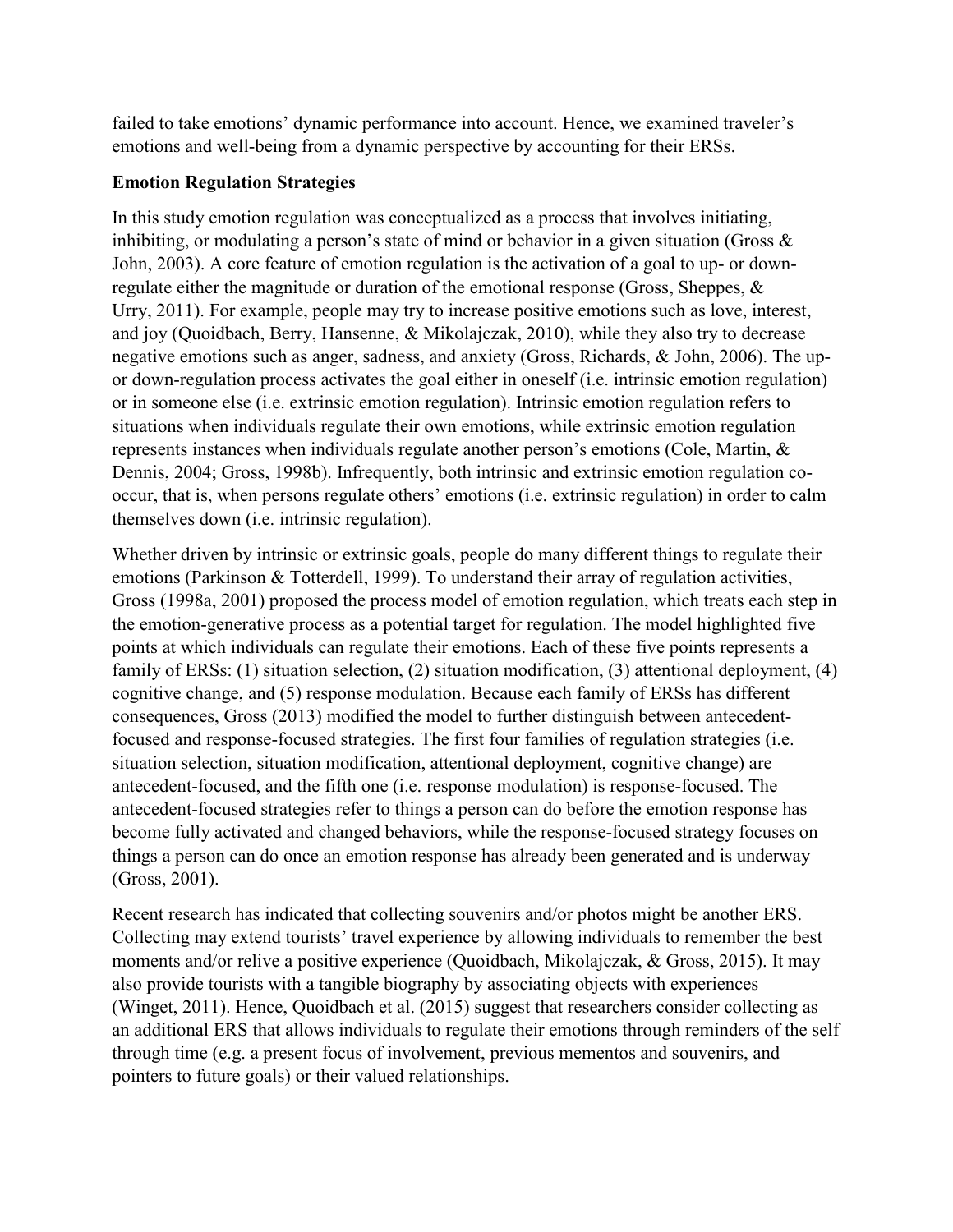failed to take emotions' dynamic performance into account. Hence, we examined traveler's emotions and well-being from a dynamic perspective by accounting for their ERSs.

### **Emotion Regulation Strategies**

In this study emotion regulation was conceptualized as a process that involves initiating, inhibiting, or modulating a person's state of mind or behavior in a given situation (Gross  $\&$ John, 2003). A core feature of emotion regulation is the activation of a goal to up- or downregulate either the magnitude or duration of the emotional response (Gross, Sheppes, & Urry, 2011). For example, people may try to increase positive emotions such as love, interest, and joy (Quoidbach, Berry, Hansenne, & Mikolajczak, 2010), while they also try to decrease negative emotions such as anger, sadness, and anxiety (Gross, Richards, & John, 2006). The upor down-regulation process activates the goal either in oneself (i.e. intrinsic emotion regulation) or in someone else (i.e. extrinsic emotion regulation). Intrinsic emotion regulation refers to situations when individuals regulate their own emotions, while extrinsic emotion regulation represents instances when individuals regulate another person's emotions (Cole, Martin, & Dennis, 2004; Gross, 1998b). Infrequently, both intrinsic and extrinsic emotion regulation cooccur, that is, when persons regulate others' emotions (i.e. extrinsic regulation) in order to calm themselves down (i.e. intrinsic regulation).

Whether driven by intrinsic or extrinsic goals, people do many different things to regulate their emotions (Parkinson & Totterdell, 1999). To understand their array of regulation activities, Gross (1998a, 2001) proposed the process model of emotion regulation, which treats each step in the emotion-generative process as a potential target for regulation. The model highlighted five points at which individuals can regulate their emotions. Each of these five points represents a family of ERSs: (1) situation selection, (2) situation modification, (3) attentional deployment, (4) cognitive change, and (5) response modulation. Because each family of ERSs has different consequences, Gross (2013) modified the model to further distinguish between antecedentfocused and response-focused strategies. The first four families of regulation strategies (i.e. situation selection, situation modification, attentional deployment, cognitive change) are antecedent-focused, and the fifth one (i.e. response modulation) is response-focused. The antecedent-focused strategies refer to things a person can do before the emotion response has become fully activated and changed behaviors, while the response-focused strategy focuses on things a person can do once an emotion response has already been generated and is underway (Gross, 2001).

Recent research has indicated that collecting souvenirs and/or photos might be another ERS. Collecting may extend tourists' travel experience by allowing individuals to remember the best moments and/or relive a positive experience (Quoidbach, Mikolajczak, & Gross, 2015). It may also provide tourists with a tangible biography by associating objects with experiences (Winget, 2011). Hence, Quoidbach et al. (2015) suggest that researchers consider collecting as an additional ERS that allows individuals to regulate their emotions through reminders of the self through time (e.g. a present focus of involvement, previous mementos and souvenirs, and pointers to future goals) or their valued relationships.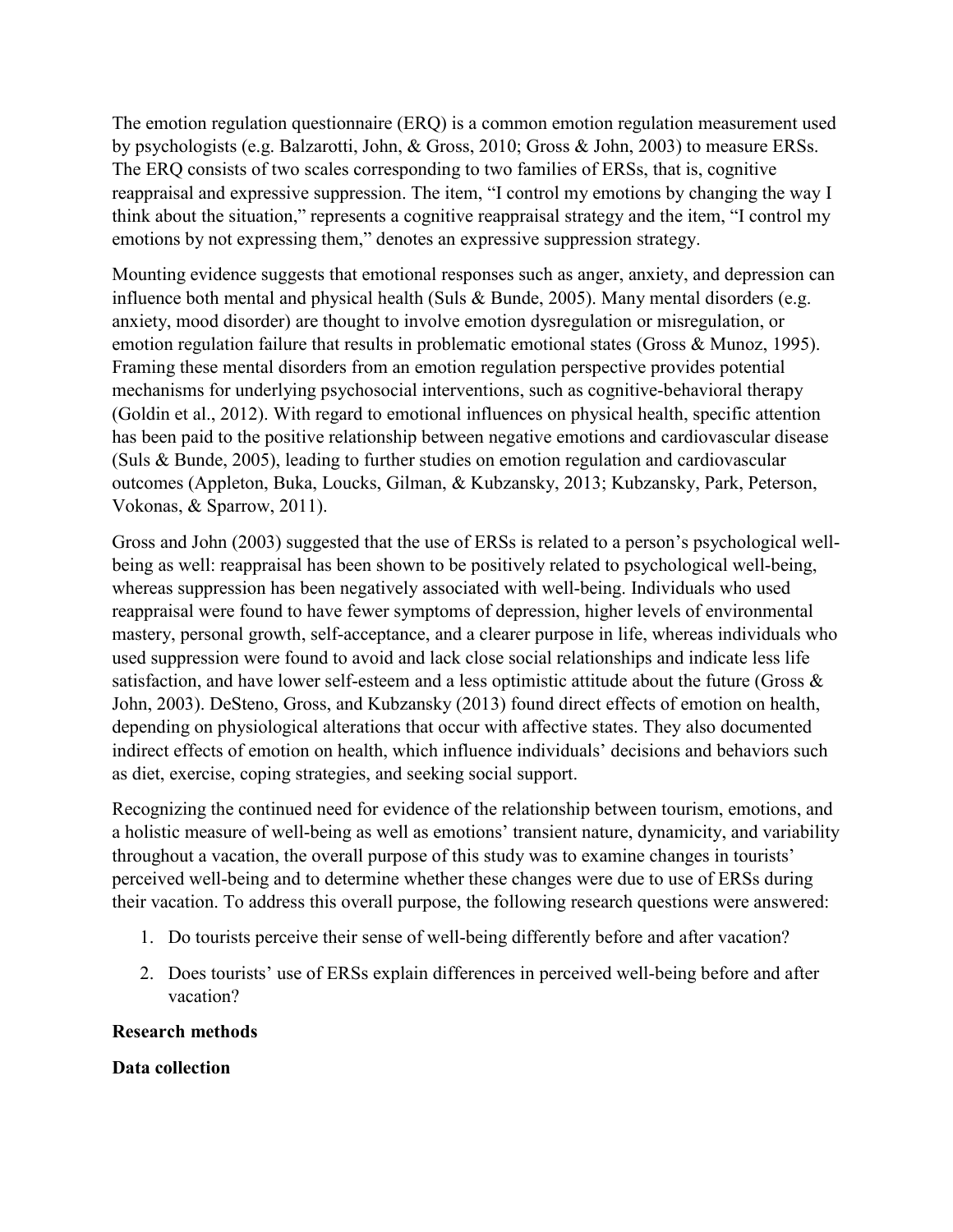The emotion regulation questionnaire (ERQ) is a common emotion regulation measurement used by psychologists (e.g. Balzarotti, John, & Gross, 2010; Gross & John, 2003) to measure ERSs. The ERQ consists of two scales corresponding to two families of ERSs, that is, cognitive reappraisal and expressive suppression. The item, "I control my emotions by changing the way I think about the situation," represents a cognitive reappraisal strategy and the item, "I control my emotions by not expressing them," denotes an expressive suppression strategy.

Mounting evidence suggests that emotional responses such as anger, anxiety, and depression can influence both mental and physical health (Suls & Bunde, 2005). Many mental disorders (e.g. anxiety, mood disorder) are thought to involve emotion dysregulation or misregulation, or emotion regulation failure that results in problematic emotional states (Gross & Munoz, 1995). Framing these mental disorders from an emotion regulation perspective provides potential mechanisms for underlying psychosocial interventions, such as cognitive-behavioral therapy (Goldin et al., 2012). With regard to emotional influences on physical health, specific attention has been paid to the positive relationship between negative emotions and cardiovascular disease (Suls & Bunde, 2005), leading to further studies on emotion regulation and cardiovascular outcomes (Appleton, Buka, Loucks, Gilman, & Kubzansky, 2013; Kubzansky, Park, Peterson, Vokonas, & Sparrow, 2011).

Gross and John (2003) suggested that the use of ERSs is related to a person's psychological wellbeing as well: reappraisal has been shown to be positively related to psychological well-being, whereas suppression has been negatively associated with well-being. Individuals who used reappraisal were found to have fewer symptoms of depression, higher levels of environmental mastery, personal growth, self-acceptance, and a clearer purpose in life, whereas individuals who used suppression were found to avoid and lack close social relationships and indicate less life satisfaction, and have lower self-esteem and a less optimistic attitude about the future (Gross  $\&$ John, 2003). DeSteno, Gross, and Kubzansky (2013) found direct effects of emotion on health, depending on physiological alterations that occur with affective states. They also documented indirect effects of emotion on health, which influence individuals' decisions and behaviors such as diet, exercise, coping strategies, and seeking social support.

Recognizing the continued need for evidence of the relationship between tourism, emotions, and a holistic measure of well-being as well as emotions' transient nature, dynamicity, and variability throughout a vacation, the overall purpose of this study was to examine changes in tourists' perceived well-being and to determine whether these changes were due to use of ERSs during their vacation. To address this overall purpose, the following research questions were answered:

- 1. Do tourists perceive their sense of well-being differently before and after vacation?
- 2. Does tourists' use of ERSs explain differences in perceived well-being before and after vacation?

### **Research methods**

### **Data collection**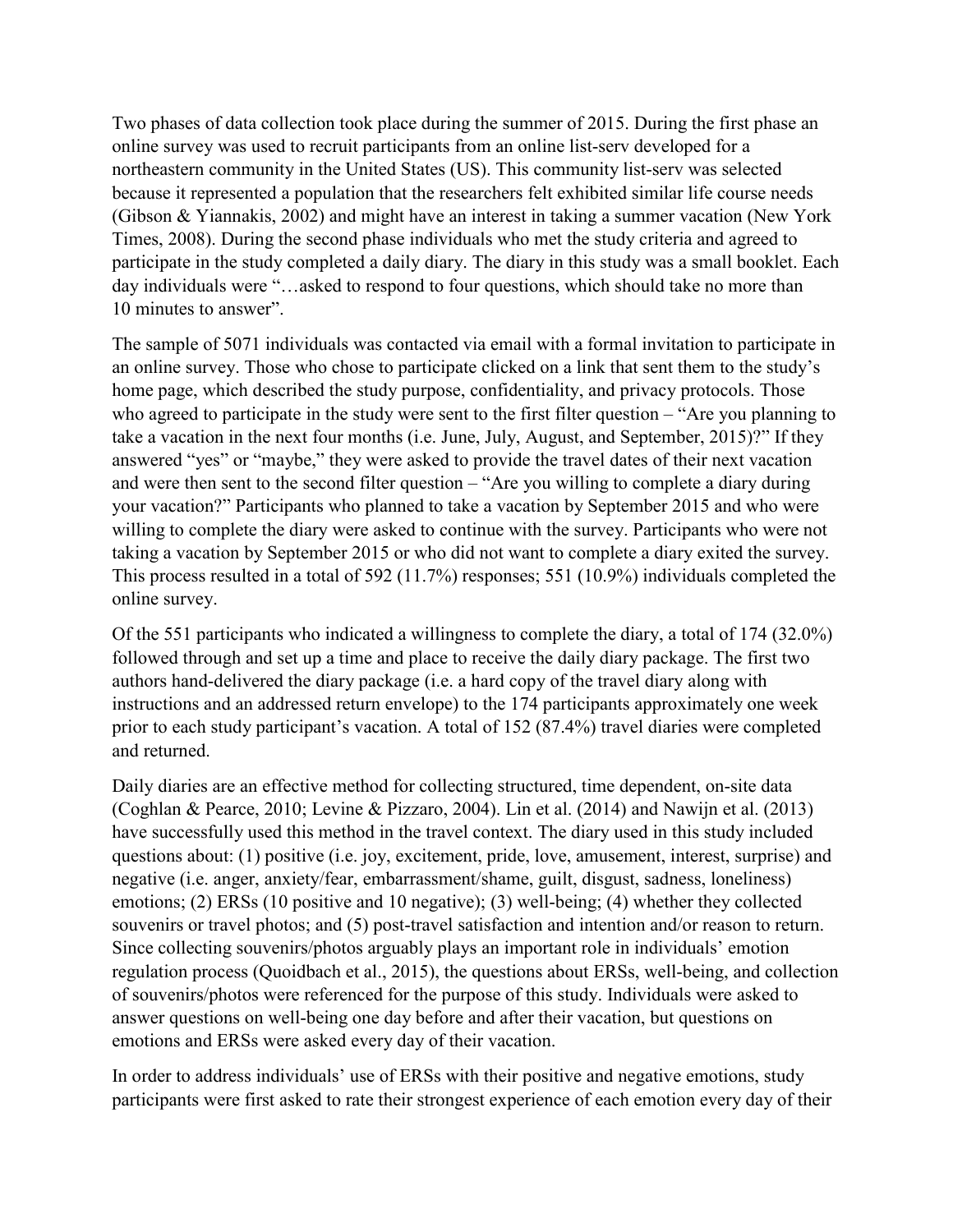Two phases of data collection took place during the summer of 2015. During the first phase an online survey was used to recruit participants from an online list-serv developed for a northeastern community in the United States (US). This community list-serv was selected because it represented a population that the researchers felt exhibited similar life course needs (Gibson & Yiannakis, 2002) and might have an interest in taking a summer vacation (New York Times, 2008). During the second phase individuals who met the study criteria and agreed to participate in the study completed a daily diary. The diary in this study was a small booklet. Each day individuals were "…asked to respond to four questions, which should take no more than 10 minutes to answer".

The sample of 5071 individuals was contacted via email with a formal invitation to participate in an online survey. Those who chose to participate clicked on a link that sent them to the study's home page, which described the study purpose, confidentiality, and privacy protocols. Those who agreed to participate in the study were sent to the first filter question – "Are you planning to take a vacation in the next four months (i.e. June, July, August, and September, 2015)?" If they answered "yes" or "maybe," they were asked to provide the travel dates of their next vacation and were then sent to the second filter question – "Are you willing to complete a diary during your vacation?" Participants who planned to take a vacation by September 2015 and who were willing to complete the diary were asked to continue with the survey. Participants who were not taking a vacation by September 2015 or who did not want to complete a diary exited the survey. This process resulted in a total of 592 (11.7%) responses; 551 (10.9%) individuals completed the online survey.

Of the 551 participants who indicated a willingness to complete the diary, a total of 174 (32.0%) followed through and set up a time and place to receive the daily diary package. The first two authors hand-delivered the diary package (i.e. a hard copy of the travel diary along with instructions and an addressed return envelope) to the 174 participants approximately one week prior to each study participant's vacation. A total of 152 (87.4%) travel diaries were completed and returned.

Daily diaries are an effective method for collecting structured, time dependent, on-site data (Coghlan & Pearce, 2010; Levine & Pizzaro, 2004). Lin et al. (2014) and Nawijn et al. (2013) have successfully used this method in the travel context. The diary used in this study included questions about: (1) positive (i.e. joy, excitement, pride, love, amusement, interest, surprise) and negative (i.e. anger, anxiety/fear, embarrassment/shame, guilt, disgust, sadness, loneliness) emotions; (2) ERSs (10 positive and 10 negative); (3) well-being; (4) whether they collected souvenirs or travel photos; and (5) post-travel satisfaction and intention and/or reason to return. Since collecting souvenirs/photos arguably plays an important role in individuals' emotion regulation process (Quoidbach et al., 2015), the questions about ERSs, well-being, and collection of souvenirs/photos were referenced for the purpose of this study. Individuals were asked to answer questions on well-being one day before and after their vacation, but questions on emotions and ERSs were asked every day of their vacation.

In order to address individuals' use of ERSs with their positive and negative emotions, study participants were first asked to rate their strongest experience of each emotion every day of their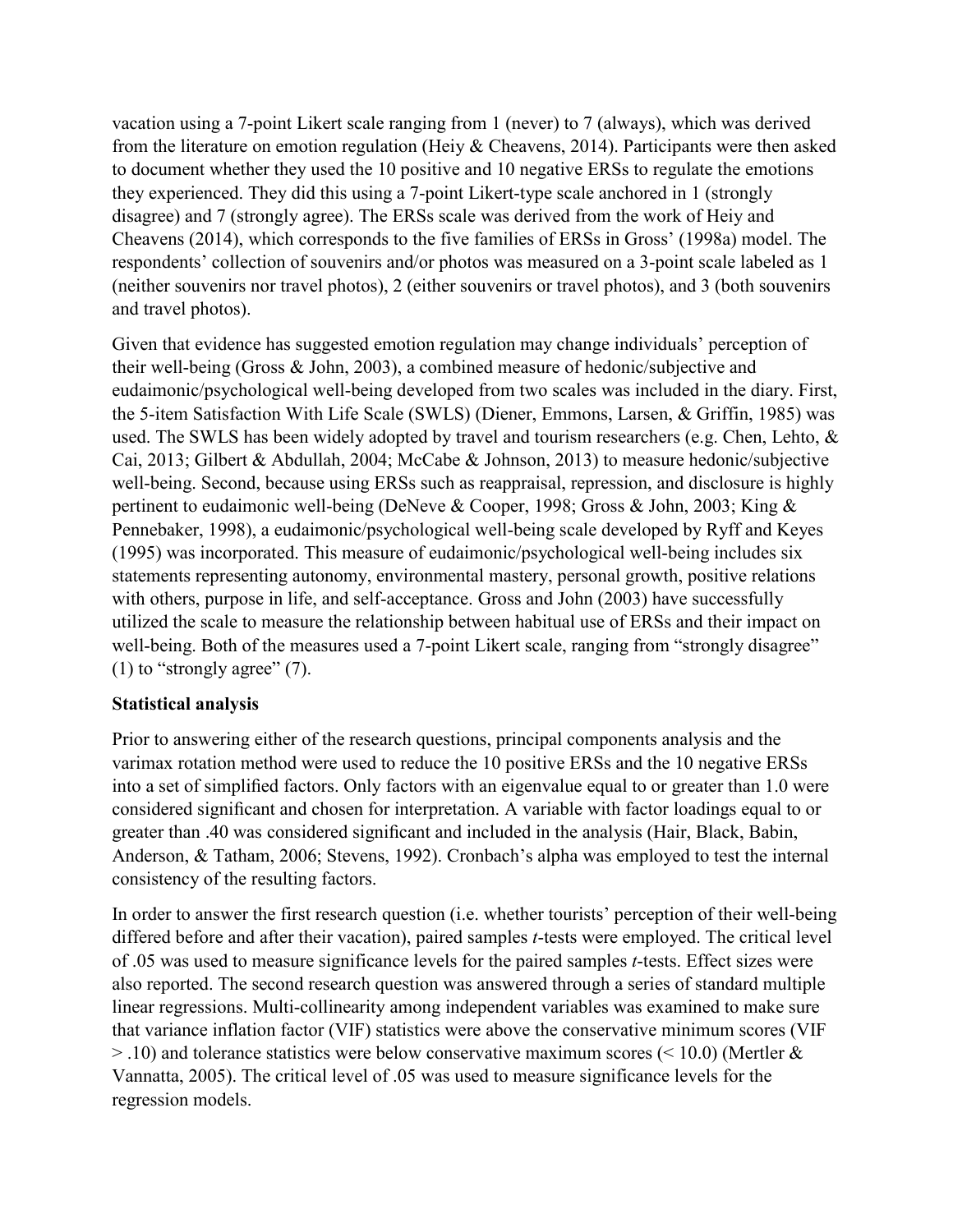vacation using a 7-point Likert scale ranging from 1 (never) to 7 (always), which was derived from the literature on emotion regulation (Heiy & Cheavens, 2014). Participants were then asked to document whether they used the 10 positive and 10 negative ERSs to regulate the emotions they experienced. They did this using a 7-point Likert-type scale anchored in 1 (strongly disagree) and 7 (strongly agree). The ERSs scale was derived from the work of Heiy and Cheavens (2014), which corresponds to the five families of ERSs in Gross' (1998a) model. The respondents' collection of souvenirs and/or photos was measured on a 3-point scale labeled as 1 (neither souvenirs nor travel photos), 2 (either souvenirs or travel photos), and 3 (both souvenirs and travel photos).

Given that evidence has suggested emotion regulation may change individuals' perception of their well-being (Gross & John, 2003), a combined measure of hedonic/subjective and eudaimonic/psychological well-being developed from two scales was included in the diary. First, the 5-item Satisfaction With Life Scale (SWLS) (Diener, Emmons, Larsen, & Griffin, 1985) was used. The SWLS has been widely adopted by travel and tourism researchers (e.g. Chen, Lehto, & Cai, 2013; Gilbert & Abdullah, 2004; McCabe & Johnson, 2013) to measure hedonic/subjective well-being. Second, because using ERSs such as reappraisal, repression, and disclosure is highly pertinent to eudaimonic well-being (DeNeve & Cooper, 1998; Gross & John, 2003; King & Pennebaker, 1998), a eudaimonic/psychological well-being scale developed by Ryff and Keyes (1995) was incorporated. This measure of eudaimonic/psychological well-being includes six statements representing autonomy, environmental mastery, personal growth, positive relations with others, purpose in life, and self-acceptance. Gross and John (2003) have successfully utilized the scale to measure the relationship between habitual use of ERSs and their impact on well-being. Both of the measures used a 7-point Likert scale, ranging from "strongly disagree" (1) to "strongly agree"  $(7)$ .

#### **Statistical analysis**

Prior to answering either of the research questions, principal components analysis and the varimax rotation method were used to reduce the 10 positive ERSs and the 10 negative ERSs into a set of simplified factors. Only factors with an eigenvalue equal to or greater than 1.0 were considered significant and chosen for interpretation. A variable with factor loadings equal to or greater than .40 was considered significant and included in the analysis (Hair, Black, Babin, Anderson, & Tatham, 2006; Stevens, 1992). Cronbach's alpha was employed to test the internal consistency of the resulting factors.

In order to answer the first research question (i.e. whether tourists' perception of their well-being differed before and after their vacation), paired samples *t*-tests were employed. The critical level of .05 was used to measure significance levels for the paired samples *t*-tests. Effect sizes were also reported. The second research question was answered through a series of standard multiple linear regressions. Multi-collinearity among independent variables was examined to make sure that variance inflation factor (VIF) statistics were above the conservative minimum scores (VIF > .10) and tolerance statistics were below conservative maximum scores (< 10.0) (Mertler & Vannatta, 2005). The critical level of .05 was used to measure significance levels for the regression models.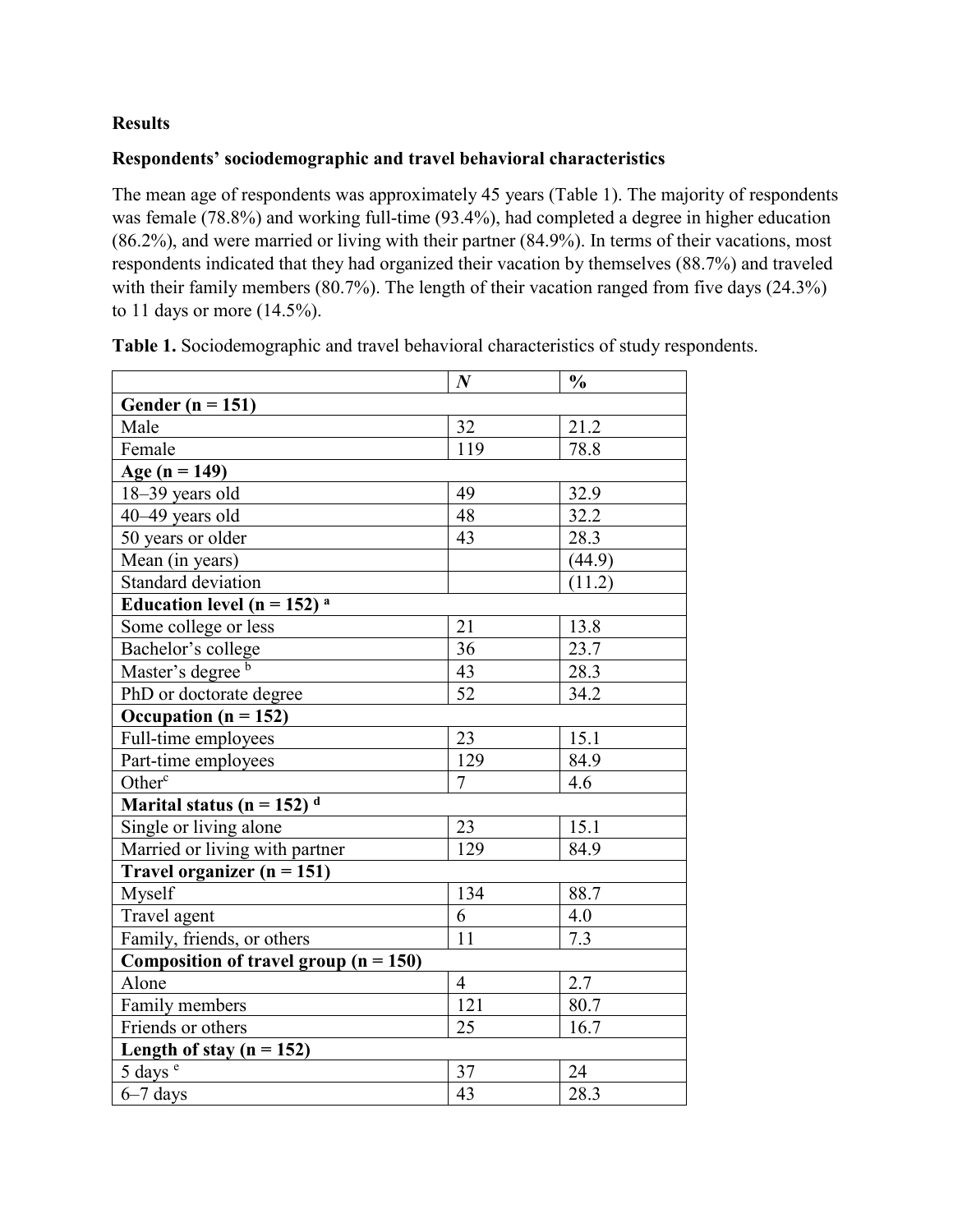### **Results**

### **Respondents' sociodemographic and travel behavioral characteristics**

The mean age of respondents was approximately 45 years (Table 1). The majority of respondents was female (78.8%) and working full-time (93.4%), had completed a degree in higher education (86.2%), and were married or living with their partner (84.9%). In terms of their vacations, most respondents indicated that they had organized their vacation by themselves (88.7%) and traveled with their family members (80.7%). The length of their vacation ranged from five days (24.3%) to 11 days or more (14.5%).

|                                            | $\boldsymbol{N}$ | $\frac{0}{0}$ |
|--------------------------------------------|------------------|---------------|
| Gender ( $n = 151$ )                       |                  |               |
| Male                                       | 32               | 21.2          |
| Female                                     | 119              | 78.8          |
| Age ( $n = 149$ )                          |                  |               |
| 18-39 years old                            | 49               | 32.9          |
| 40–49 years old                            | 48               | 32.2          |
| 50 years or older                          | 43               | 28.3          |
| Mean (in years)                            |                  | (44.9)        |
| Standard deviation                         |                  | (11.2)        |
| Education level ( $n = 152$ ) <sup>a</sup> |                  |               |
| Some college or less                       | 21               | 13.8          |
| Bachelor's college                         | 36               | 23.7          |
| Master's degree <sup>b</sup>               | 43               | 28.3          |
| PhD or doctorate degree                    | 52               | 34.2          |
| Occupation ( $n = 152$ )                   |                  |               |
| Full-time employees                        | 23               | 15.1          |
| Part-time employees                        | 129              | 84.9          |
| Other <sup>c</sup>                         | $\overline{7}$   | 4.6           |
| Marital status ( $n = 152$ ) <sup>d</sup>  |                  |               |
| Single or living alone                     | 23               | 15.1          |
| Married or living with partner             | 129              | 84.9          |
| Travel organizer ( $n = 151$ )             |                  |               |
| Myself                                     | 134              | 88.7          |
| Travel agent                               | 6                | 4.0           |
| Family, friends, or others                 | 11               | 7.3           |
| Composition of travel group $(n = 150)$    |                  |               |
| Alone                                      | $\overline{4}$   | 2.7           |
| Family members                             | 121              | 80.7          |
| Friends or others                          | 25               | 16.7          |
| Length of stay $(n = 152)$                 |                  |               |
| 5 days <sup>e</sup>                        | 37               | 24            |
| $6-7$ days                                 | 43               | 28.3          |

**Table 1.** Sociodemographic and travel behavioral characteristics of study respondents.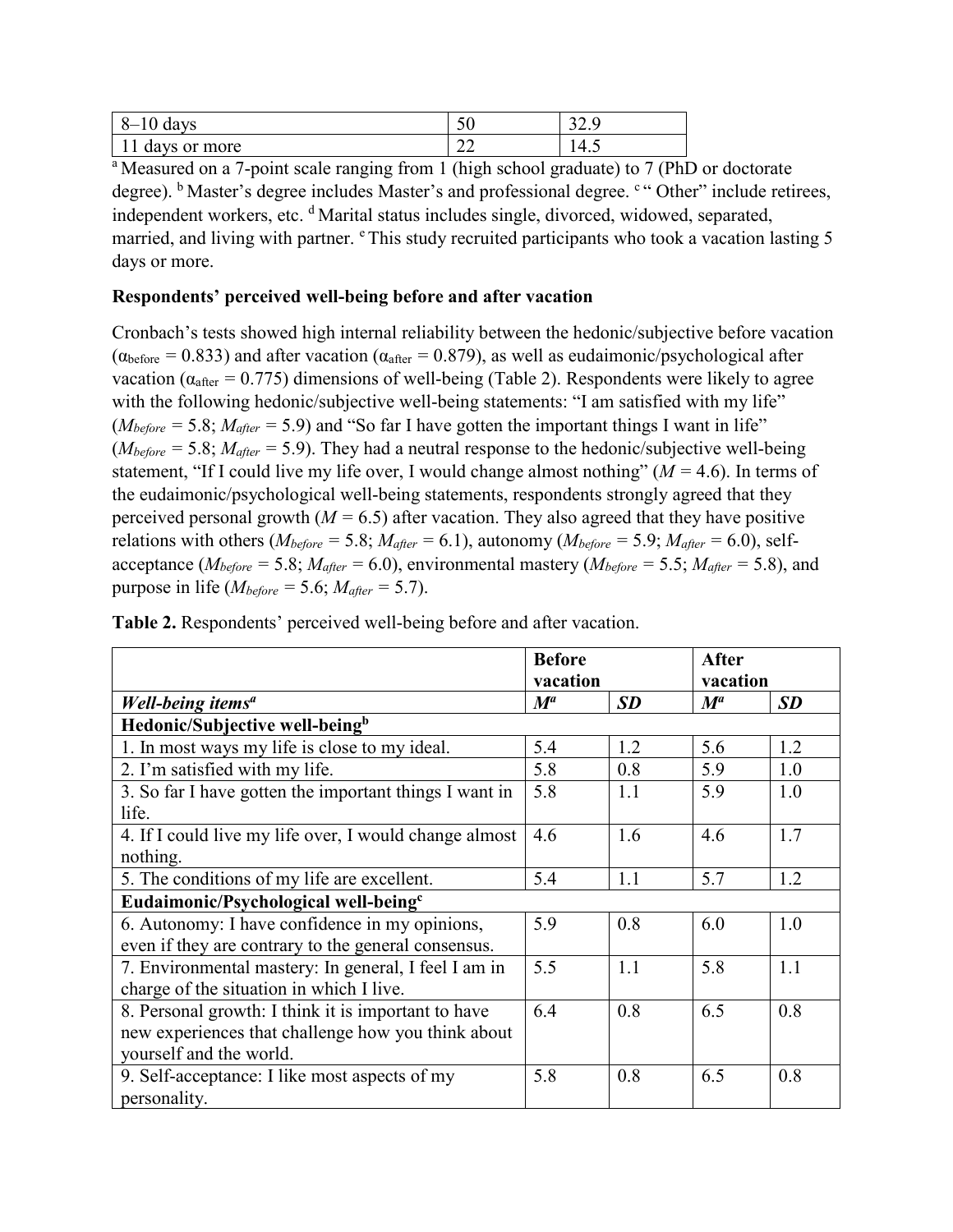| $\Omega$<br>davs<br>ν<br>л. | $\epsilon$<br>υv | $\sim$ $\sim$<br>ر دے ر |
|-----------------------------|------------------|-------------------------|
| days or more                | $\sim$<br>∸∸     | $\sqrt{1}$<br>᠇.        |

<sup>a</sup> Measured on a 7-point scale ranging from 1 (high school graduate) to 7 (PhD or doctorate degree). <sup>b</sup> Master's degree includes Master's and professional degree. <sup>c "</sup> Other" include retirees, independent workers, etc. <sup>d</sup> Marital status includes single, divorced, widowed, separated, married, and living with partner. <sup>e</sup> This study recruited participants who took a vacation lasting 5 days or more.

### **Respondents' perceived well-being before and after vacation**

Cronbach's tests showed high internal reliability between the hedonic/subjective before vacation  $(\alpha_{\text{before}} = 0.833)$  and after vacation ( $\alpha_{\text{after}} = 0.879$ ), as well as eudaimonic/psychological after vacation (αafter *=* 0.775) dimensions of well-being (Table 2). Respondents were likely to agree with the following hedonic/subjective well-being statements: "I am satisfied with my life"  $(M_{before} = 5.8; M_{after} = 5.9)$  and "So far I have gotten the important things I want in life"  $(M_{before} = 5.8; M_{after} = 5.9)$ . They had a neutral response to the hedonic/subjective well-being statement, "If I could live my life over, I would change almost nothing" ( $M = 4.6$ ). In terms of the eudaimonic/psychological well-being statements, respondents strongly agreed that they perceived personal growth ( $M = 6.5$ ) after vacation. They also agreed that they have positive relations with others ( $M_{before} = 5.8$ ;  $M_{after} = 6.1$ ), autonomy ( $M_{before} = 5.9$ ;  $M_{after} = 6.0$ ), selfacceptance ( $M_{before} = 5.8$ ;  $M_{after} = 6.0$ ), environmental mastery ( $M_{before} = 5.5$ ;  $M_{after} = 5.8$ ), and purpose in life ( $M_{before} = 5.6$ ;  $M_{after} = 5.7$ ).

|                                                        | <b>Before</b><br>vacation |           | After<br>vacation |           |
|--------------------------------------------------------|---------------------------|-----------|-------------------|-----------|
| Well-being items <sup>a</sup>                          | $M^a$                     | <b>SD</b> | $M^a$             | <b>SD</b> |
| Hedonic/Subjective well-being <sup>b</sup>             |                           |           |                   |           |
| 1. In most ways my life is close to my ideal.          | 5.4                       | 1.2       | 5.6               | 1.2       |
| 2. I'm satisfied with my life.                         | 5.8                       | 0.8       | 5.9               | 1.0       |
| 3. So far I have gotten the important things I want in | 5.8                       | 1.1       | 5.9               | 1.0       |
| life.                                                  |                           |           |                   |           |
| 4. If I could live my life over, I would change almost | 4.6                       | 1.6       | 4.6               | 1.7       |
| nothing.                                               |                           |           |                   |           |
| 5. The conditions of my life are excellent.            | 5.4                       | 1.1       | 5.7               | 1.2       |
| Eudaimonic/Psychological well-being <sup>c</sup>       |                           |           |                   |           |
| 6. Autonomy: I have confidence in my opinions,         | 5.9                       | 0.8       | 6.0               | 1.0       |
| even if they are contrary to the general consensus.    |                           |           |                   |           |
| 7. Environmental mastery: In general, I feel I am in   | 5.5                       | 1.1       | 5.8               | 1.1       |
| charge of the situation in which I live.               |                           |           |                   |           |
| 8. Personal growth: I think it is important to have    | 6.4                       | 0.8       | 6.5               | 0.8       |
| new experiences that challenge how you think about     |                           |           |                   |           |
| yourself and the world.                                |                           |           |                   |           |
| 9. Self-acceptance: I like most aspects of my          | 5.8                       | 0.8       | 6.5               | 0.8       |
| personality.                                           |                           |           |                   |           |

**Table 2.** Respondents' perceived well-being before and after vacation.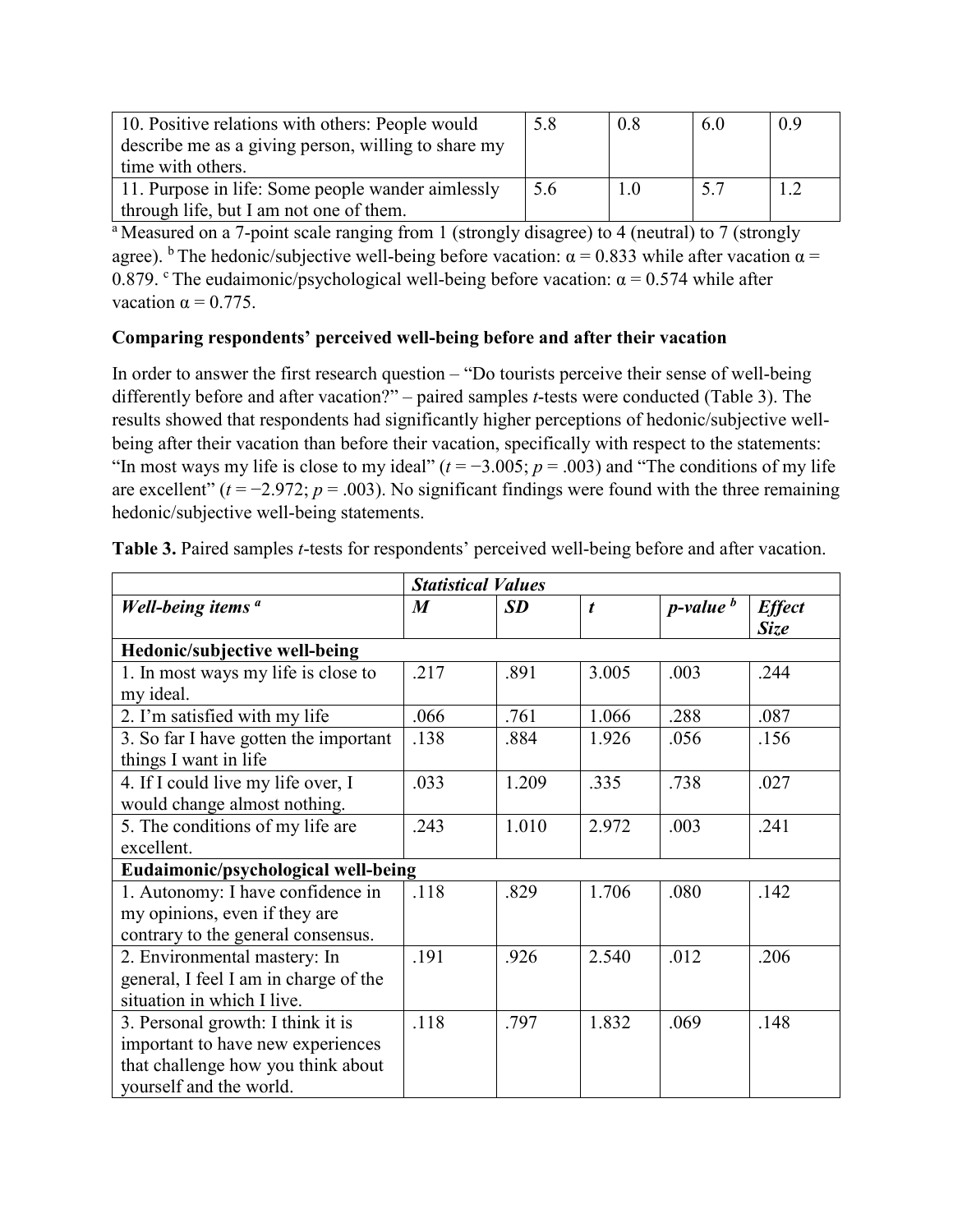| 10. Positive relations with others: People would    | 5.8 | 0.8 | 6.0 | 0.9 |
|-----------------------------------------------------|-----|-----|-----|-----|
| describe me as a giving person, willing to share my |     |     |     |     |
| time with others.                                   |     |     |     |     |
| 11. Purpose in life: Some people wander aimlessly   | 5.6 | 1.0 | 5.7 |     |
| through life, but I am not one of them.             |     |     |     |     |

<sup>a</sup> Measured on a 7-point scale ranging from 1 (strongly disagree) to 4 (neutral) to 7 (strongly agree). <sup>b</sup> The hedonic/subjective well-being before vacation:  $\alpha$  = 0.833 while after vacation  $\alpha$  = 0.879. <sup>c</sup> The eudaimonic/psychological well-being before vacation:  $\alpha$  = 0.574 while after vacation  $\alpha = 0.775$ .

## **Comparing respondents' perceived well-being before and after their vacation**

In order to answer the first research question – "Do tourists perceive their sense of well-being differently before and after vacation?" – paired samples *t*-tests were conducted (Table 3). The results showed that respondents had significantly higher perceptions of hedonic/subjective wellbeing after their vacation than before their vacation, specifically with respect to the statements: "In most ways my life is close to my ideal"  $(t = -3.005; p = .003)$  and "The conditions of my life" are excellent"  $(t = -2.972; p = .003)$ . No significant findings were found with the three remaining hedonic/subjective well-being statements.

|                                       | <b>Statistical Values</b> |           |       |                          |               |  |  |
|---------------------------------------|---------------------------|-----------|-------|--------------------------|---------------|--|--|
| Well-being items <sup>a</sup>         | $\boldsymbol{M}$          | <b>SD</b> | t     | $p$ -value $\frac{b}{p}$ | <b>Effect</b> |  |  |
|                                       |                           |           |       |                          | <b>Size</b>   |  |  |
| Hedonic/subjective well-being         |                           |           |       |                          |               |  |  |
| 1. In most ways my life is close to   | .217                      | .891      | 3.005 | .003                     | .244          |  |  |
| my ideal.                             |                           |           |       |                          |               |  |  |
| 2. I'm satisfied with my life         | .066                      | .761      | 1.066 | .288                     | .087          |  |  |
| 3. So far I have gotten the important | .138                      | .884      | 1.926 | .056                     | .156          |  |  |
| things I want in life                 |                           |           |       |                          |               |  |  |
| 4. If I could live my life over, I    | .033                      | 1.209     | .335  | .738                     | .027          |  |  |
| would change almost nothing.          |                           |           |       |                          |               |  |  |
| 5. The conditions of my life are      | .243                      | 1.010     | 2.972 | .003                     | .241          |  |  |
| excellent.                            |                           |           |       |                          |               |  |  |
| Eudaimonic/psychological well-being   |                           |           |       |                          |               |  |  |
| 1. Autonomy: I have confidence in     | .118                      | .829      | 1.706 | .080                     | .142          |  |  |
| my opinions, even if they are         |                           |           |       |                          |               |  |  |
| contrary to the general consensus.    |                           |           |       |                          |               |  |  |
| 2. Environmental mastery: In          | .191                      | .926      | 2.540 | .012                     | .206          |  |  |
| general, I feel I am in charge of the |                           |           |       |                          |               |  |  |
| situation in which I live.            |                           |           |       |                          |               |  |  |
| 3. Personal growth: I think it is     | .118                      | .797      | 1.832 | .069                     | .148          |  |  |
| important to have new experiences     |                           |           |       |                          |               |  |  |
| that challenge how you think about    |                           |           |       |                          |               |  |  |
| yourself and the world.               |                           |           |       |                          |               |  |  |

**Table 3.** Paired samples *t*-tests for respondents' perceived well-being before and after vacation.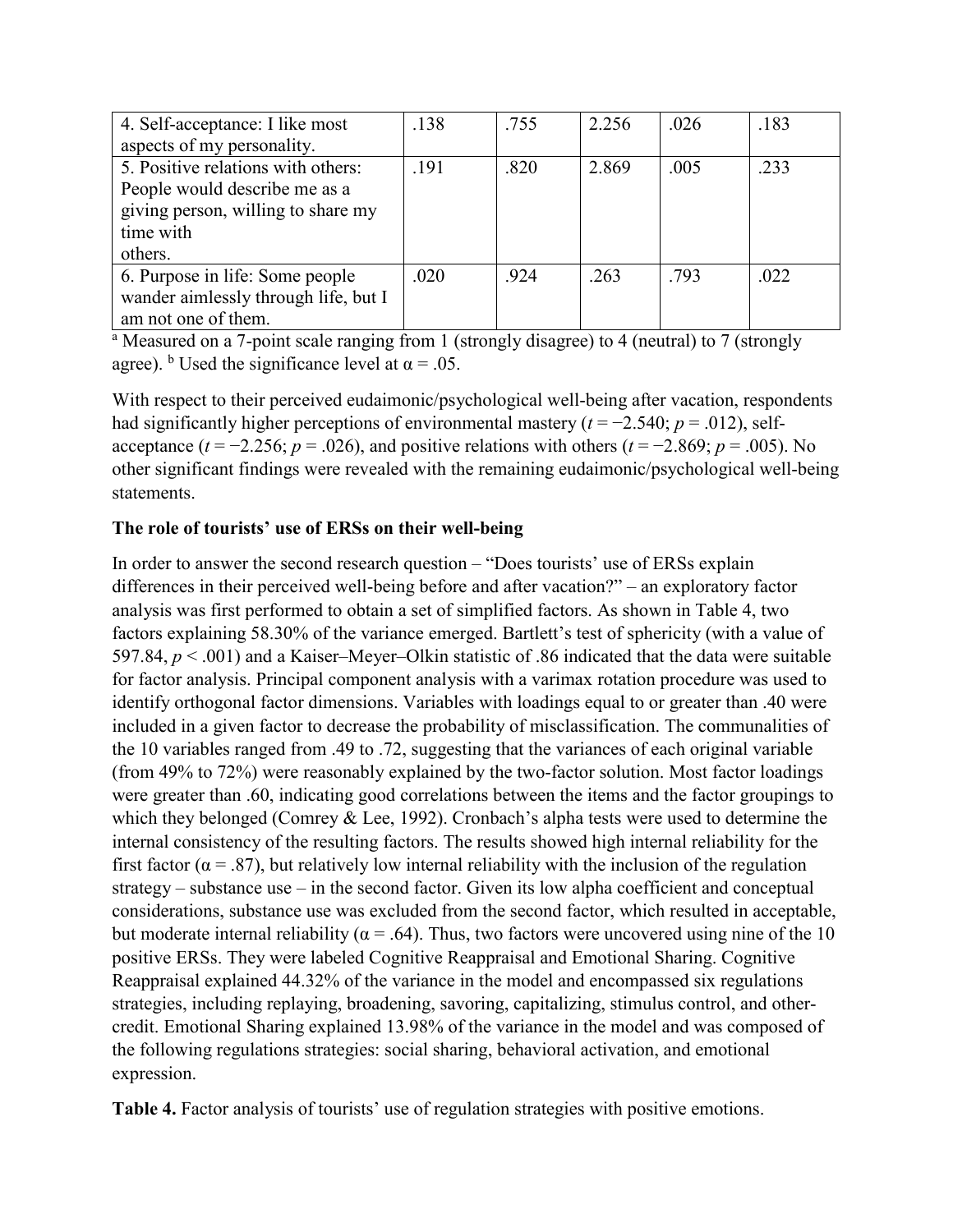| 4. Self-acceptance: I like most      | .138 | .755 | 2.256 | .026 | .183 |
|--------------------------------------|------|------|-------|------|------|
| aspects of my personality.           |      |      |       |      |      |
| 5. Positive relations with others:   | .191 | .820 | 2.869 | .005 | .233 |
| People would describe me as a        |      |      |       |      |      |
| giving person, willing to share my   |      |      |       |      |      |
| time with                            |      |      |       |      |      |
| others.                              |      |      |       |      |      |
| 6. Purpose in life: Some people      | .020 | .924 | .263  | .793 | .022 |
| wander aimlessly through life, but I |      |      |       |      |      |
| am not one of them.                  |      |      |       |      |      |

<sup>a</sup> Measured on a 7-point scale ranging from 1 (strongly disagree) to 4 (neutral) to 7 (strongly agree). <sup>b</sup> Used the significance level at  $\alpha$  = .05.

With respect to their perceived eudaimonic/psychological well-being after vacation, respondents had significantly higher perceptions of environmental mastery ( $t = -2.540$ ;  $p = .012$ ), selfacceptance ( $t = -2.256$ ;  $p = .026$ ), and positive relations with others ( $t = -2.869$ ;  $p = .005$ ). No other significant findings were revealed with the remaining eudaimonic/psychological well-being statements.

## **The role of tourists' use of ERSs on their well-being**

In order to answer the second research question – "Does tourists' use of ERSs explain differences in their perceived well-being before and after vacation?" – an exploratory factor analysis was first performed to obtain a set of simplified factors. As shown in Table 4, two factors explaining 58.30% of the variance emerged. Bartlett's test of sphericity (with a value of 597.84, *p* < .001) and a Kaiser–Meyer–Olkin statistic of .86 indicated that the data were suitable for factor analysis. Principal component analysis with a varimax rotation procedure was used to identify orthogonal factor dimensions. Variables with loadings equal to or greater than .40 were included in a given factor to decrease the probability of misclassification. The communalities of the 10 variables ranged from .49 to .72, suggesting that the variances of each original variable (from 49% to 72%) were reasonably explained by the two-factor solution. Most factor loadings were greater than .60, indicating good correlations between the items and the factor groupings to which they belonged (Comrey & Lee, 1992). Cronbach's alpha tests were used to determine the internal consistency of the resulting factors. The results showed high internal reliability for the first factor ( $\alpha = .87$ ), but relatively low internal reliability with the inclusion of the regulation strategy – substance use – in the second factor. Given its low alpha coefficient and conceptual considerations, substance use was excluded from the second factor, which resulted in acceptable, but moderate internal reliability ( $\alpha$  = .64). Thus, two factors were uncovered using nine of the 10 positive ERSs. They were labeled Cognitive Reappraisal and Emotional Sharing. Cognitive Reappraisal explained 44.32% of the variance in the model and encompassed six regulations strategies, including replaying, broadening, savoring, capitalizing, stimulus control, and othercredit. Emotional Sharing explained 13.98% of the variance in the model and was composed of the following regulations strategies: social sharing, behavioral activation, and emotional expression.

**Table 4.** Factor analysis of tourists' use of regulation strategies with positive emotions.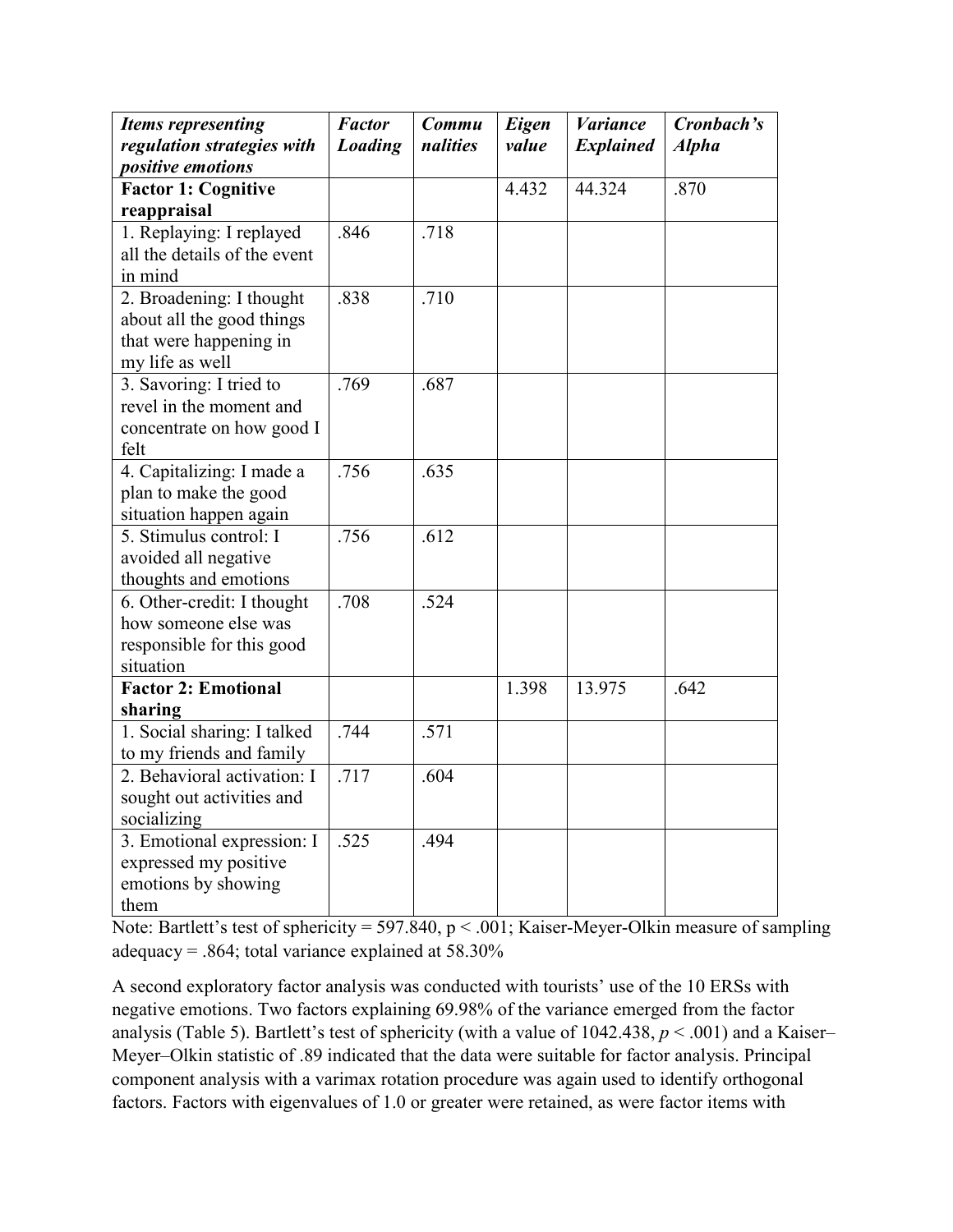| <b>Items representing</b><br>regulation strategies with<br><i>positive emotions</i>                | <b>Factor</b><br><b>Loading</b> | Commu<br>nalities | Eigen<br>value | <b>Variance</b><br><b>Explained</b> | Cronbach's<br><b>Alpha</b> |
|----------------------------------------------------------------------------------------------------|---------------------------------|-------------------|----------------|-------------------------------------|----------------------------|
| <b>Factor 1: Cognitive</b>                                                                         |                                 |                   | 4.432          | 44.324                              | .870                       |
| reappraisal                                                                                        |                                 |                   |                |                                     |                            |
| 1. Replaying: I replayed<br>all the details of the event<br>in mind                                | .846                            | .718              |                |                                     |                            |
| 2. Broadening: I thought<br>about all the good things<br>that were happening in<br>my life as well | .838                            | .710              |                |                                     |                            |
| 3. Savoring: I tried to<br>revel in the moment and<br>concentrate on how good I<br>felt            | .769                            | .687              |                |                                     |                            |
| 4. Capitalizing: I made a<br>plan to make the good<br>situation happen again                       | .756                            | .635              |                |                                     |                            |
| 5. Stimulus control: I<br>avoided all negative<br>thoughts and emotions                            | .756                            | .612              |                |                                     |                            |
| 6. Other-credit: I thought<br>how someone else was<br>responsible for this good<br>situation       | .708                            | .524              |                |                                     |                            |
| <b>Factor 2: Emotional</b><br>sharing                                                              |                                 |                   | 1.398          | 13.975                              | .642                       |
| 1. Social sharing: I talked<br>to my friends and family                                            | .744                            | .571              |                |                                     |                            |
| 2. Behavioral activation: I<br>sought out activities and<br>socializing                            | .717                            | .604              |                |                                     |                            |
| 3. Emotional expression: I<br>expressed my positive<br>emotions by showing<br>them                 | .525                            | .494              |                |                                     |                            |

Note: Bartlett's test of sphericity = 597.840,  $p < .001$ ; Kaiser-Meyer-Olkin measure of sampling adequacy = .864; total variance explained at  $58.30\%$ 

A second exploratory factor analysis was conducted with tourists' use of the 10 ERSs with negative emotions. Two factors explaining 69.98% of the variance emerged from the factor analysis (Table 5). Bartlett's test of sphericity (with a value of 1042.438, *p* < .001) and a Kaiser– Meyer–Olkin statistic of .89 indicated that the data were suitable for factor analysis. Principal component analysis with a varimax rotation procedure was again used to identify orthogonal factors. Factors with eigenvalues of 1.0 or greater were retained, as were factor items with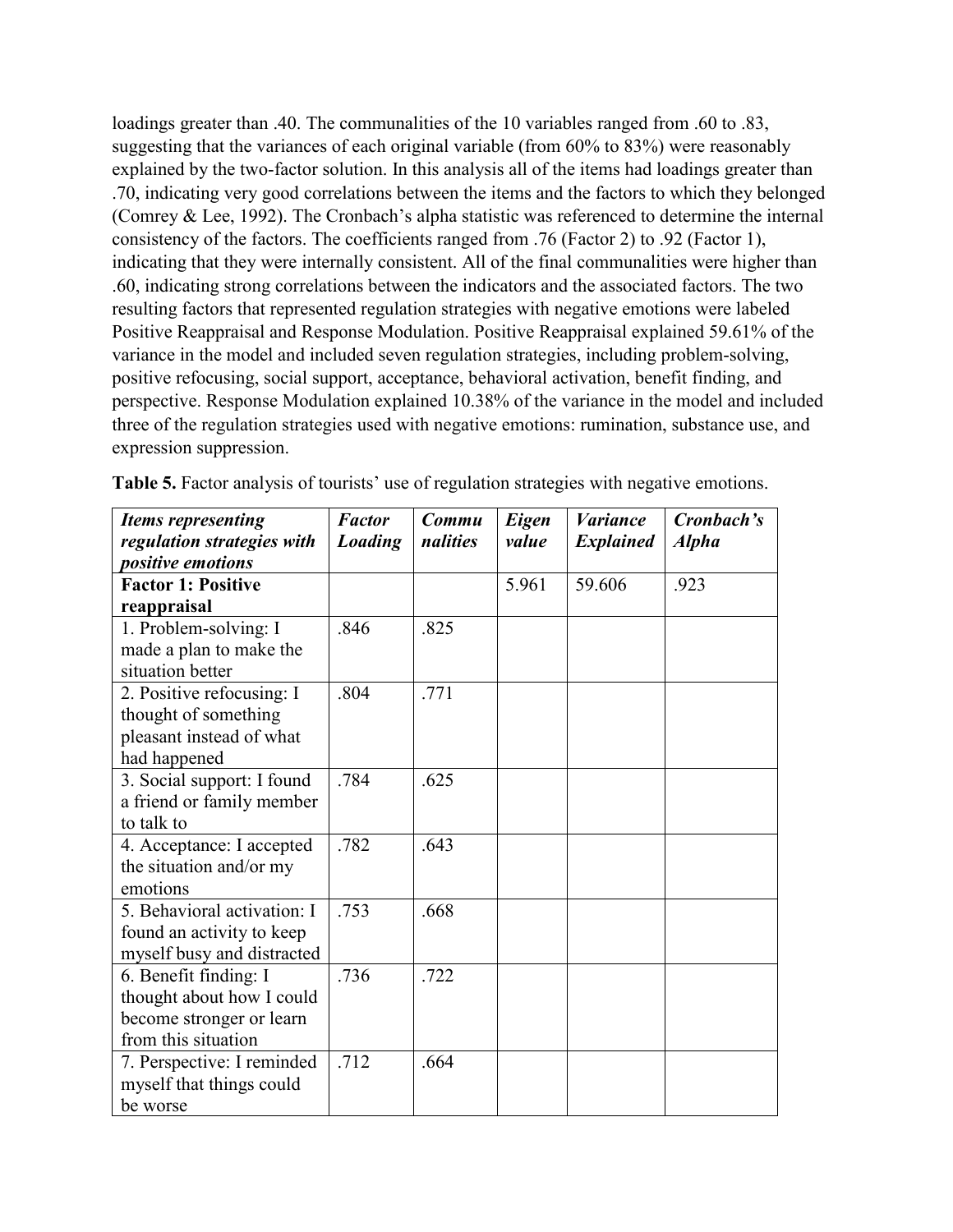loadings greater than .40. The communalities of the 10 variables ranged from .60 to .83, suggesting that the variances of each original variable (from 60% to 83%) were reasonably explained by the two-factor solution. In this analysis all of the items had loadings greater than .70, indicating very good correlations between the items and the factors to which they belonged (Comrey & Lee, 1992). The Cronbach's alpha statistic was referenced to determine the internal consistency of the factors. The coefficients ranged from .76 (Factor 2) to .92 (Factor 1), indicating that they were internally consistent. All of the final communalities were higher than .60, indicating strong correlations between the indicators and the associated factors. The two resulting factors that represented regulation strategies with negative emotions were labeled Positive Reappraisal and Response Modulation. Positive Reappraisal explained 59.61% of the variance in the model and included seven regulation strategies, including problem-solving, positive refocusing, social support, acceptance, behavioral activation, benefit finding, and perspective. Response Modulation explained 10.38% of the variance in the model and included three of the regulation strategies used with negative emotions: rumination, substance use, and expression suppression.

| <b>Items representing</b>   | <b>Factor</b>  | Commu    | Eigen | <b>Variance</b>  | Cronbach's   |
|-----------------------------|----------------|----------|-------|------------------|--------------|
| regulation strategies with  | <b>Loading</b> | nalities | value | <b>Explained</b> | <b>Alpha</b> |
| positive emotions           |                |          |       |                  |              |
| <b>Factor 1: Positive</b>   |                |          | 5.961 | 59.606           | .923         |
| reappraisal                 |                |          |       |                  |              |
| 1. Problem-solving: I       | .846           | .825     |       |                  |              |
| made a plan to make the     |                |          |       |                  |              |
| situation better            |                |          |       |                  |              |
| 2. Positive refocusing: I   | .804           | .771     |       |                  |              |
| thought of something        |                |          |       |                  |              |
| pleasant instead of what    |                |          |       |                  |              |
| had happened                |                |          |       |                  |              |
| 3. Social support: I found  | .784           | .625     |       |                  |              |
| a friend or family member   |                |          |       |                  |              |
| to talk to                  |                |          |       |                  |              |
| 4. Acceptance: I accepted   | .782           | .643     |       |                  |              |
| the situation and/or my     |                |          |       |                  |              |
| emotions                    |                |          |       |                  |              |
| 5. Behavioral activation: I | .753           | .668     |       |                  |              |
| found an activity to keep   |                |          |       |                  |              |
| myself busy and distracted  |                |          |       |                  |              |
| 6. Benefit finding: I       | .736           | .722     |       |                  |              |
| thought about how I could   |                |          |       |                  |              |
| become stronger or learn    |                |          |       |                  |              |
| from this situation         |                |          |       |                  |              |
| 7. Perspective: I reminded  | .712           | .664     |       |                  |              |
| myself that things could    |                |          |       |                  |              |
| be worse                    |                |          |       |                  |              |

| Table 5. Factor analysis of tourists' use of regulation strategies with negative emotions. |  |  |  |  |  |  |  |  |
|--------------------------------------------------------------------------------------------|--|--|--|--|--|--|--|--|
|--------------------------------------------------------------------------------------------|--|--|--|--|--|--|--|--|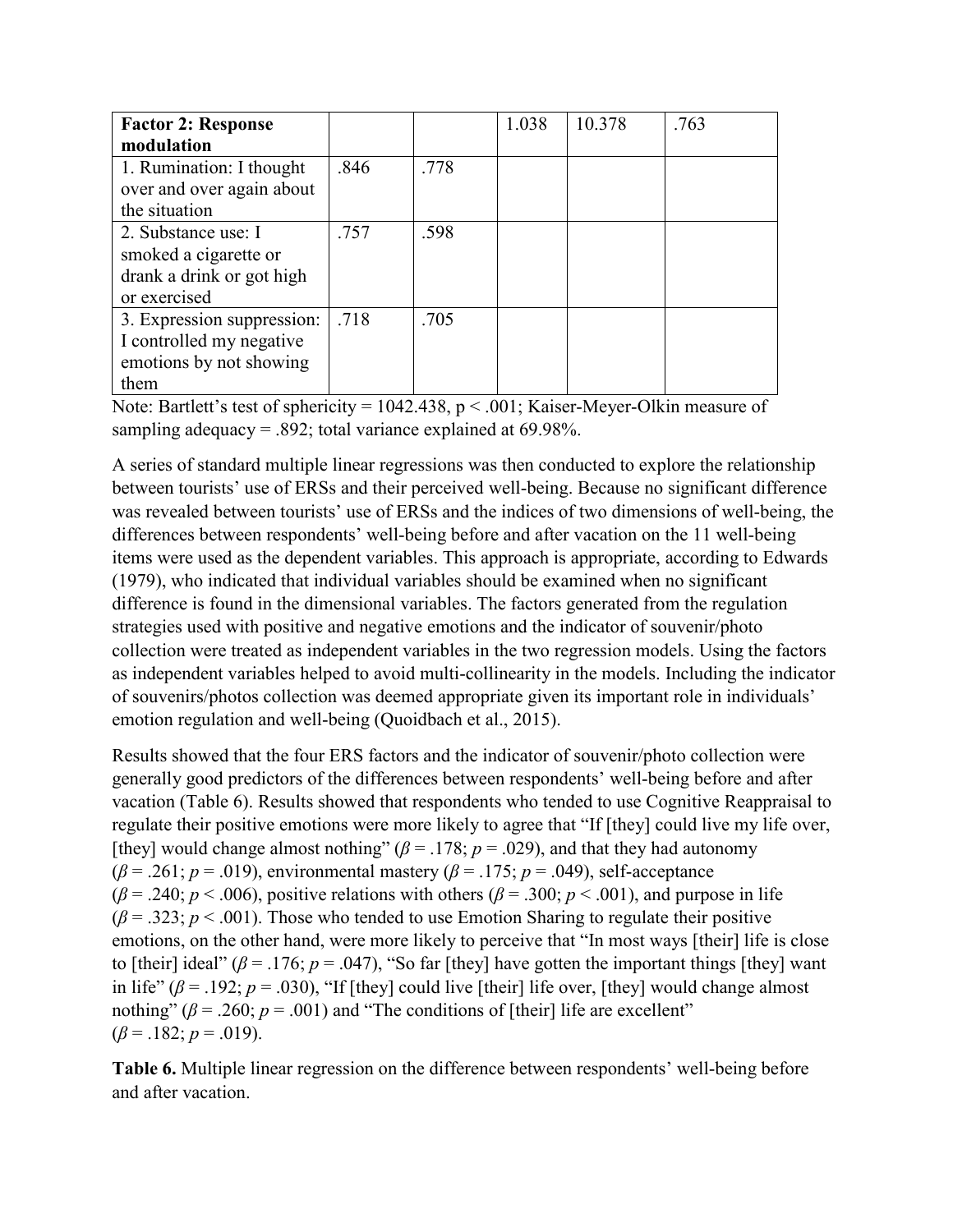| <b>Factor 2: Response</b>  |      |      | 1.038 | 10.378 | .763 |
|----------------------------|------|------|-------|--------|------|
| modulation                 |      |      |       |        |      |
| 1. Rumination: I thought   | .846 | .778 |       |        |      |
| over and over again about  |      |      |       |        |      |
| the situation              |      |      |       |        |      |
| 2. Substance use: I        | .757 | .598 |       |        |      |
| smoked a cigarette or      |      |      |       |        |      |
| drank a drink or got high  |      |      |       |        |      |
| or exercised               |      |      |       |        |      |
| 3. Expression suppression: | .718 | .705 |       |        |      |
| I controlled my negative   |      |      |       |        |      |
| emotions by not showing    |      |      |       |        |      |
| them                       |      |      |       |        |      |

Note: Bartlett's test of sphericity =  $1042.438$ , p < .001; Kaiser-Meyer-Olkin measure of sampling adequacy = .892; total variance explained at  $69.98\%$ .

A series of standard multiple linear regressions was then conducted to explore the relationship between tourists' use of ERSs and their perceived well-being. Because no significant difference was revealed between tourists' use of ERSs and the indices of two dimensions of well-being, the differences between respondents' well-being before and after vacation on the 11 well-being items were used as the dependent variables. This approach is appropriate, according to Edwards (1979), who indicated that individual variables should be examined when no significant difference is found in the dimensional variables. The factors generated from the regulation strategies used with positive and negative emotions and the indicator of souvenir/photo collection were treated as independent variables in the two regression models. Using the factors as independent variables helped to avoid multi-collinearity in the models. Including the indicator of souvenirs/photos collection was deemed appropriate given its important role in individuals' emotion regulation and well-being (Quoidbach et al., 2015).

Results showed that the four ERS factors and the indicator of souvenir/photo collection were generally good predictors of the differences between respondents' well-being before and after vacation (Table 6). Results showed that respondents who tended to use Cognitive Reappraisal to regulate their positive emotions were more likely to agree that "If [they] could live my life over, [they] would change almost nothing" ( $\beta$  = .178;  $p$  = .029), and that they had autonomy (*β* = .261; *p* = .019), environmental mastery (*β* = .175; *p* = .049), self-acceptance  $(\beta = .240; p < .006)$ , positive relations with others  $(\beta = .300; p < .001)$ , and purpose in life  $(\beta = .323; p < .001)$ . Those who tended to use Emotion Sharing to regulate their positive emotions, on the other hand, were more likely to perceive that "In most ways [their] life is close to [their] ideal" ( $\beta$  = .176;  $p$  = .047), "So far [they] have gotten the important things [they] want in life" ( $\beta$  = .192;  $p$  = .030), "If [they] could live [their] life over, [they] would change almost nothing" ( $\beta$  = .260;  $p$  = .001) and "The conditions of [their] life are excellent"  $(\beta = .182; p = .019)$ .

**Table 6.** Multiple linear regression on the difference between respondents' well-being before and after vacation.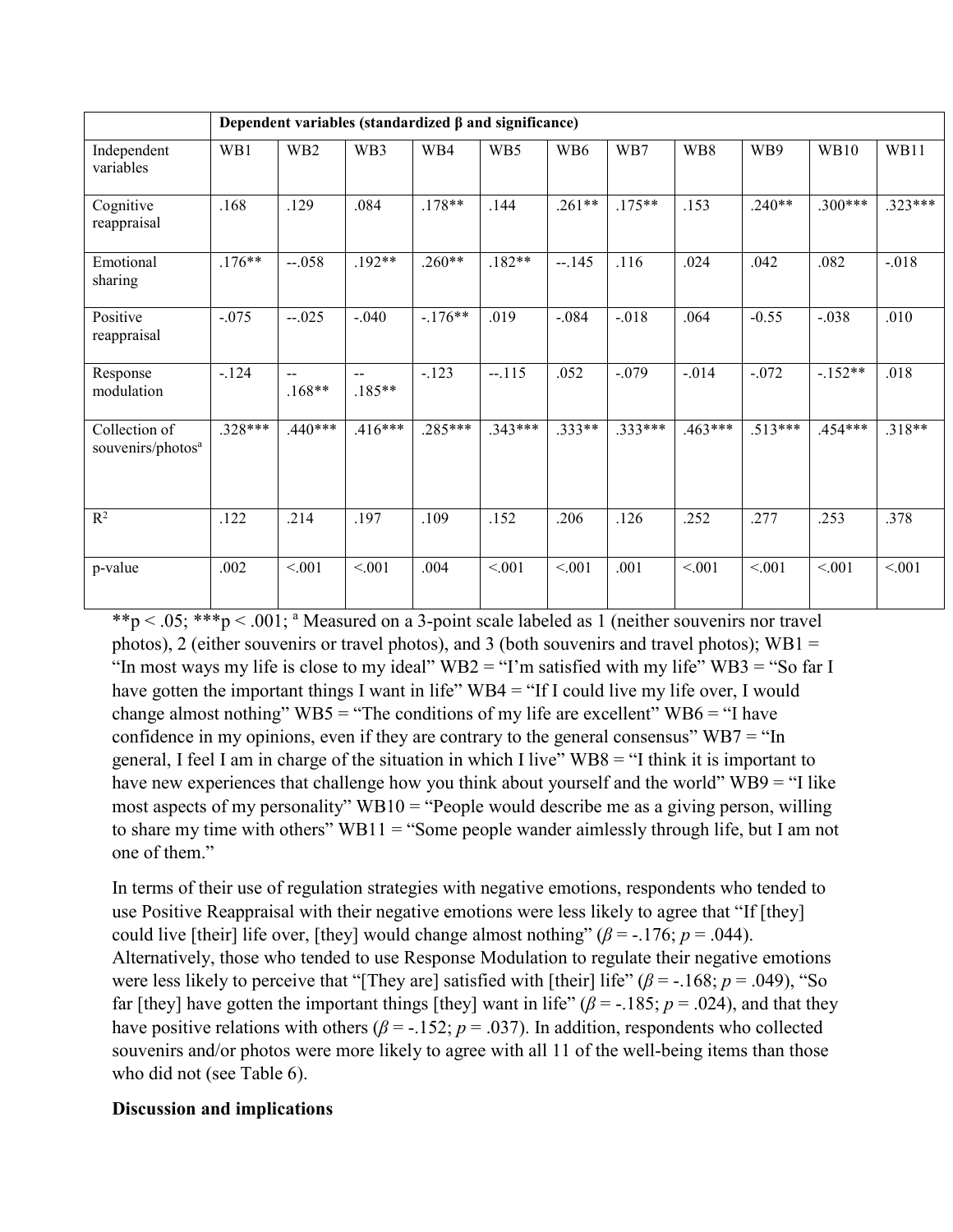|                                                | Dependent variables (standardized $\beta$ and significance) |                 |                     |           |           |          |           |           |           |           |           |
|------------------------------------------------|-------------------------------------------------------------|-----------------|---------------------|-----------|-----------|----------|-----------|-----------|-----------|-----------|-----------|
| Independent<br>variables                       | WB1                                                         | WB <sub>2</sub> | WB3                 | WB4       | WB5       | WB6      | WB7       | WB8       | WB9       | WB10      | WB11      |
| Cognitive<br>reappraisal                       | .168                                                        | .129            | .084                | $.178**$  | .144      | $.261**$ | $.175**$  | .153      | $.240**$  | $.300***$ | $.323***$ |
| Emotional<br>sharing                           | $.176**$                                                    | $-.058$         | $.192**$            | $.260**$  | $.182**$  | $-.145$  | .116      | .024      | .042      | .082      | $-.018$   |
| Positive<br>reappraisal                        | $-.075$                                                     | $-.025$         | $-.040$             | $-176**$  | .019      | $-.084$  | $-.018$   | .064      | $-0.55$   | $-.038$   | .010      |
| Response<br>modulation                         | $-124$                                                      | $-$<br>$.168**$ | $\sim$<br>$.185***$ | $-.123$   | $-.115$   | .052     | $-.079$   | $-.014$   | $-.072$   | $-152**$  | .018      |
| Collection of<br>souvenirs/photos <sup>a</sup> | $.328***$                                                   | $.440***$       | $.416***$           | $.285***$ | $.343***$ | $.333**$ | $.333***$ | $.463***$ | $.513***$ | .454***   | $.318**$  |
| $R^2$                                          | .122                                                        | .214            | .197                | .109      | .152      | .206     | .126      | .252      | .277      | .253      | .378      |
| p-value                                        | .002                                                        | < 0.01          | < 0.01              | .004      | < 0.01    | < 0.001  | .001      | < 001     | < 0.01    | < 0.01    | < 0.01    |

 $*<sub>p</sub> < .05; **<sub>p</sub> < .001;$ <sup>a</sup> Measured on a 3-point scale labeled as 1 (neither souvenirs nor travel photos), 2 (either souvenirs or travel photos), and 3 (both souvenirs and travel photos); WB1 = "In most ways my life is close to my ideal"  $WB2 = "I'm$  satisfied with my life"  $WB3 = "So$  far I have gotten the important things I want in life" WB4 = "If I could live my life over, I would change almost nothing"  $WBS =$  "The conditions of my life are excellent"  $WBS =$  "I have confidence in my opinions, even if they are contrary to the general consensus"  $WB7 = "In$ general, I feel I am in charge of the situation in which I live"  $WBS = "I$  think it is important to have new experiences that challenge how you think about yourself and the world" WB9 = "I like most aspects of my personality"  $WB10 =$  "People would describe me as a giving person, willing to share my time with others"  $WB11 =$ "Some people wander aimlessly through life, but I am not one of them."

In terms of their use of regulation strategies with negative emotions, respondents who tended to use Positive Reappraisal with their negative emotions were less likely to agree that "If [they] could live [their] life over, [they] would change almost nothing" ( $\beta$  = -.176;  $p$  = .044). Alternatively, those who tended to use Response Modulation to regulate their negative emotions were less likely to perceive that "[They are] satisfied with [their] life" ( $\beta$  = -.168;  $p$  = .049), "So far [they] have gotten the important things [they] want in life" ( $\beta$  = -.185;  $p = .024$ ), and that they have positive relations with others ( $\beta$  = -.152;  $p = .037$ ). In addition, respondents who collected souvenirs and/or photos were more likely to agree with all 11 of the well-being items than those who did not (see Table 6).

#### **Discussion and implications**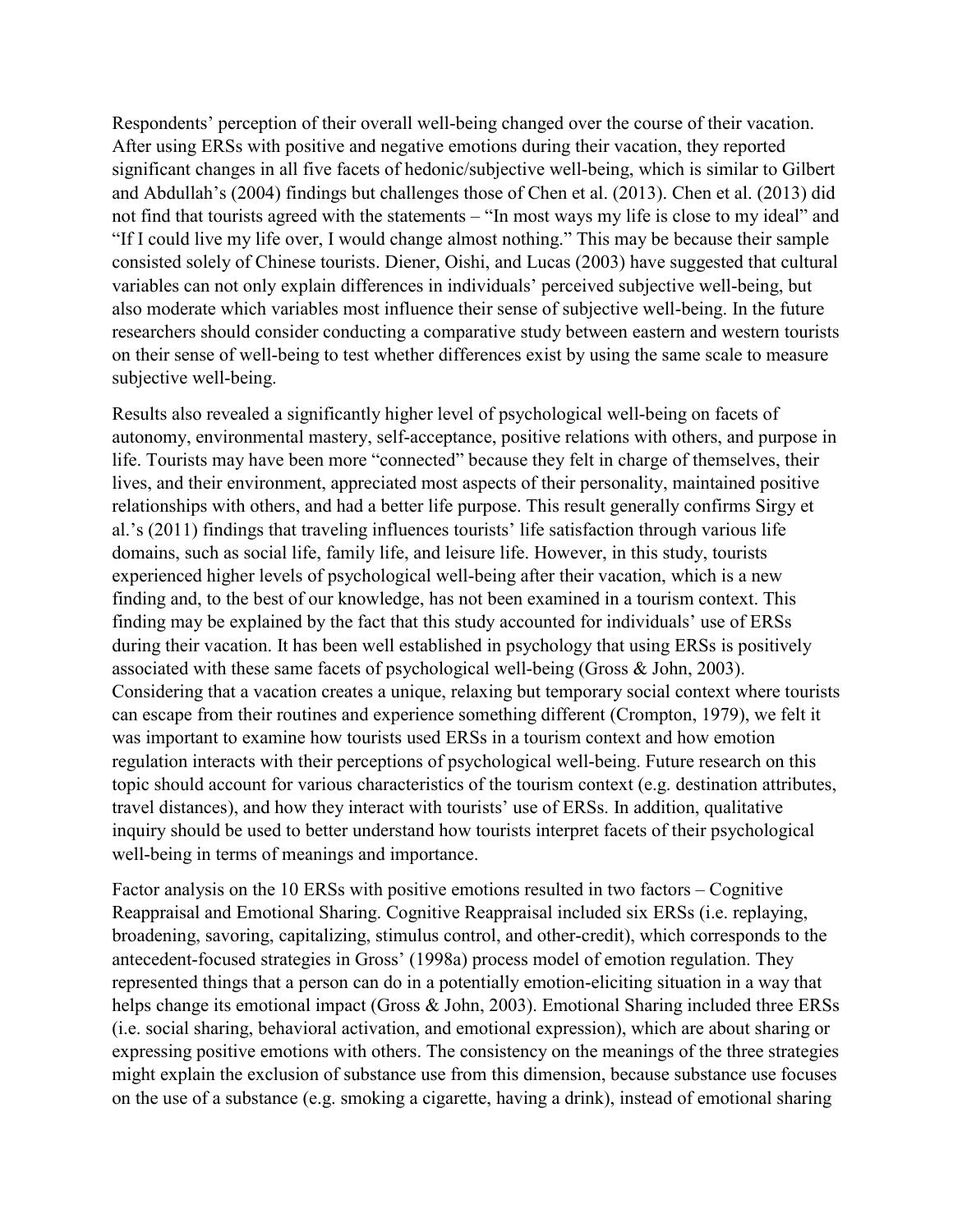Respondents' perception of their overall well-being changed over the course of their vacation. After using ERSs with positive and negative emotions during their vacation, they reported significant changes in all five facets of hedonic/subjective well-being, which is similar to Gilbert and Abdullah's (2004) findings but challenges those of Chen et al. (2013). Chen et al. (2013) did not find that tourists agreed with the statements – "In most ways my life is close to my ideal" and "If I could live my life over, I would change almost nothing." This may be because their sample consisted solely of Chinese tourists. Diener, Oishi, and Lucas (2003) have suggested that cultural variables can not only explain differences in individuals' perceived subjective well-being, but also moderate which variables most influence their sense of subjective well-being. In the future researchers should consider conducting a comparative study between eastern and western tourists on their sense of well-being to test whether differences exist by using the same scale to measure subjective well-being.

Results also revealed a significantly higher level of psychological well-being on facets of autonomy, environmental mastery, self-acceptance, positive relations with others, and purpose in life. Tourists may have been more "connected" because they felt in charge of themselves, their lives, and their environment, appreciated most aspects of their personality, maintained positive relationships with others, and had a better life purpose. This result generally confirms Sirgy et al.'s (2011) findings that traveling influences tourists' life satisfaction through various life domains, such as social life, family life, and leisure life. However, in this study, tourists experienced higher levels of psychological well-being after their vacation, which is a new finding and, to the best of our knowledge, has not been examined in a tourism context. This finding may be explained by the fact that this study accounted for individuals' use of ERSs during their vacation. It has been well established in psychology that using ERSs is positively associated with these same facets of psychological well-being (Gross & John, 2003). Considering that a vacation creates a unique, relaxing but temporary social context where tourists can escape from their routines and experience something different (Crompton, 1979), we felt it was important to examine how tourists used ERSs in a tourism context and how emotion regulation interacts with their perceptions of psychological well-being. Future research on this topic should account for various characteristics of the tourism context (e.g. destination attributes, travel distances), and how they interact with tourists' use of ERSs. In addition, qualitative inquiry should be used to better understand how tourists interpret facets of their psychological well-being in terms of meanings and importance.

Factor analysis on the 10 ERSs with positive emotions resulted in two factors – Cognitive Reappraisal and Emotional Sharing. Cognitive Reappraisal included six ERSs (i.e. replaying, broadening, savoring, capitalizing, stimulus control, and other-credit), which corresponds to the antecedent-focused strategies in Gross' (1998a) process model of emotion regulation. They represented things that a person can do in a potentially emotion-eliciting situation in a way that helps change its emotional impact (Gross & John, 2003). Emotional Sharing included three ERSs (i.e. social sharing, behavioral activation, and emotional expression), which are about sharing or expressing positive emotions with others. The consistency on the meanings of the three strategies might explain the exclusion of substance use from this dimension, because substance use focuses on the use of a substance (e.g. smoking a cigarette, having a drink), instead of emotional sharing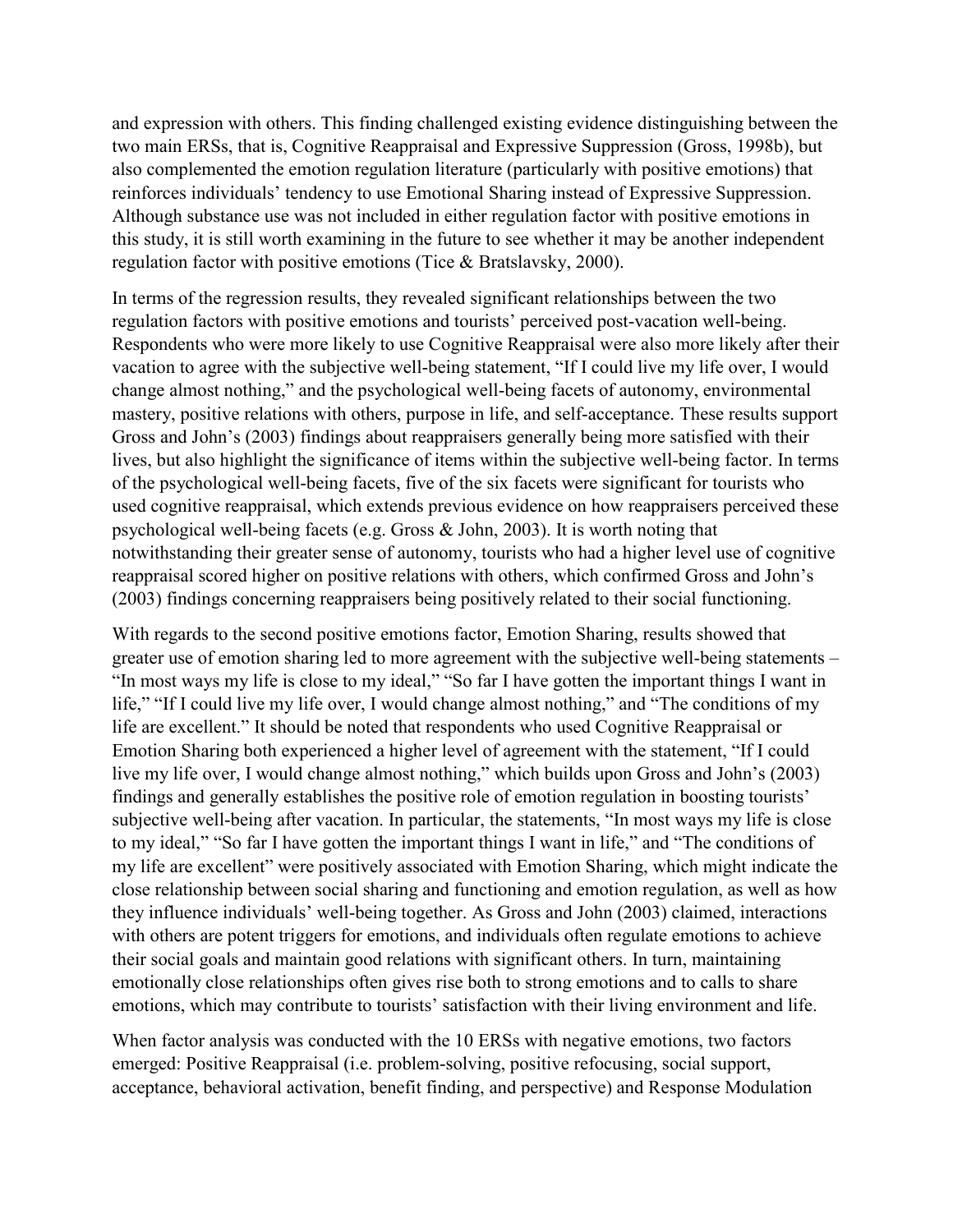and expression with others. This finding challenged existing evidence distinguishing between the two main ERSs, that is, Cognitive Reappraisal and Expressive Suppression (Gross, 1998b), but also complemented the emotion regulation literature (particularly with positive emotions) that reinforces individuals' tendency to use Emotional Sharing instead of Expressive Suppression. Although substance use was not included in either regulation factor with positive emotions in this study, it is still worth examining in the future to see whether it may be another independent regulation factor with positive emotions (Tice & Bratslavsky, 2000).

In terms of the regression results, they revealed significant relationships between the two regulation factors with positive emotions and tourists' perceived post-vacation well-being. Respondents who were more likely to use Cognitive Reappraisal were also more likely after their vacation to agree with the subjective well-being statement, "If I could live my life over, I would change almost nothing," and the psychological well-being facets of autonomy, environmental mastery, positive relations with others, purpose in life, and self-acceptance. These results support Gross and John's (2003) findings about reappraisers generally being more satisfied with their lives, but also highlight the significance of items within the subjective well-being factor. In terms of the psychological well-being facets, five of the six facets were significant for tourists who used cognitive reappraisal, which extends previous evidence on how reappraisers perceived these psychological well-being facets (e.g. Gross & John, 2003). It is worth noting that notwithstanding their greater sense of autonomy, tourists who had a higher level use of cognitive reappraisal scored higher on positive relations with others, which confirmed Gross and John's (2003) findings concerning reappraisers being positively related to their social functioning.

With regards to the second positive emotions factor, Emotion Sharing, results showed that greater use of emotion sharing led to more agreement with the subjective well-being statements – "In most ways my life is close to my ideal," "So far I have gotten the important things I want in life," "If I could live my life over, I would change almost nothing," and "The conditions of my life are excellent." It should be noted that respondents who used Cognitive Reappraisal or Emotion Sharing both experienced a higher level of agreement with the statement, "If I could live my life over, I would change almost nothing," which builds upon Gross and John's (2003) findings and generally establishes the positive role of emotion regulation in boosting tourists' subjective well-being after vacation. In particular, the statements, "In most ways my life is close to my ideal," "So far I have gotten the important things I want in life," and "The conditions of my life are excellent" were positively associated with Emotion Sharing, which might indicate the close relationship between social sharing and functioning and emotion regulation, as well as how they influence individuals' well-being together. As Gross and John (2003) claimed, interactions with others are potent triggers for emotions, and individuals often regulate emotions to achieve their social goals and maintain good relations with significant others. In turn, maintaining emotionally close relationships often gives rise both to strong emotions and to calls to share emotions, which may contribute to tourists' satisfaction with their living environment and life.

When factor analysis was conducted with the 10 ERSs with negative emotions, two factors emerged: Positive Reappraisal (i.e. problem-solving, positive refocusing, social support, acceptance, behavioral activation, benefit finding, and perspective) and Response Modulation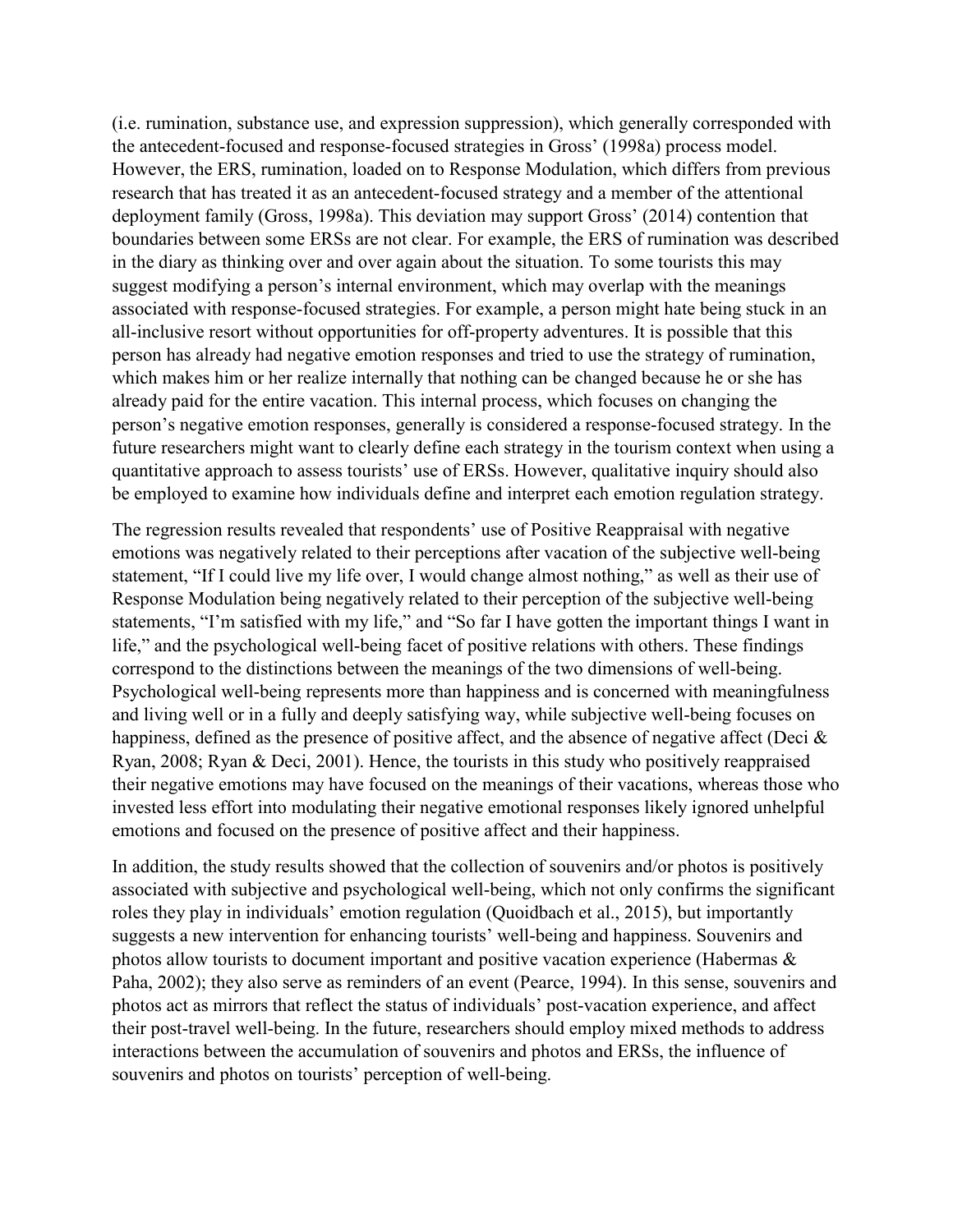(i.e. rumination, substance use, and expression suppression), which generally corresponded with the antecedent-focused and response-focused strategies in Gross' (1998a) process model. However, the ERS, rumination, loaded on to Response Modulation, which differs from previous research that has treated it as an antecedent-focused strategy and a member of the attentional deployment family (Gross, 1998a). This deviation may support Gross' (2014) contention that boundaries between some ERSs are not clear. For example, the ERS of rumination was described in the diary as thinking over and over again about the situation. To some tourists this may suggest modifying a person's internal environment, which may overlap with the meanings associated with response-focused strategies. For example, a person might hate being stuck in an all-inclusive resort without opportunities for off-property adventures. It is possible that this person has already had negative emotion responses and tried to use the strategy of rumination, which makes him or her realize internally that nothing can be changed because he or she has already paid for the entire vacation. This internal process, which focuses on changing the person's negative emotion responses, generally is considered a response-focused strategy. In the future researchers might want to clearly define each strategy in the tourism context when using a quantitative approach to assess tourists' use of ERSs. However, qualitative inquiry should also be employed to examine how individuals define and interpret each emotion regulation strategy.

The regression results revealed that respondents' use of Positive Reappraisal with negative emotions was negatively related to their perceptions after vacation of the subjective well-being statement, "If I could live my life over, I would change almost nothing," as well as their use of Response Modulation being negatively related to their perception of the subjective well-being statements, "I'm satisfied with my life," and "So far I have gotten the important things I want in life," and the psychological well-being facet of positive relations with others. These findings correspond to the distinctions between the meanings of the two dimensions of well-being. Psychological well-being represents more than happiness and is concerned with meaningfulness and living well or in a fully and deeply satisfying way, while subjective well-being focuses on happiness, defined as the presence of positive affect, and the absence of negative affect (Deci & Ryan, 2008; Ryan & Deci, 2001). Hence, the tourists in this study who positively reappraised their negative emotions may have focused on the meanings of their vacations, whereas those who invested less effort into modulating their negative emotional responses likely ignored unhelpful emotions and focused on the presence of positive affect and their happiness.

In addition, the study results showed that the collection of souvenirs and/or photos is positively associated with subjective and psychological well-being, which not only confirms the significant roles they play in individuals' emotion regulation (Quoidbach et al., 2015), but importantly suggests a new intervention for enhancing tourists' well-being and happiness. Souvenirs and photos allow tourists to document important and positive vacation experience (Habermas & Paha, 2002); they also serve as reminders of an event (Pearce, 1994). In this sense, souvenirs and photos act as mirrors that reflect the status of individuals' post-vacation experience, and affect their post-travel well-being. In the future, researchers should employ mixed methods to address interactions between the accumulation of souvenirs and photos and ERSs, the influence of souvenirs and photos on tourists' perception of well-being.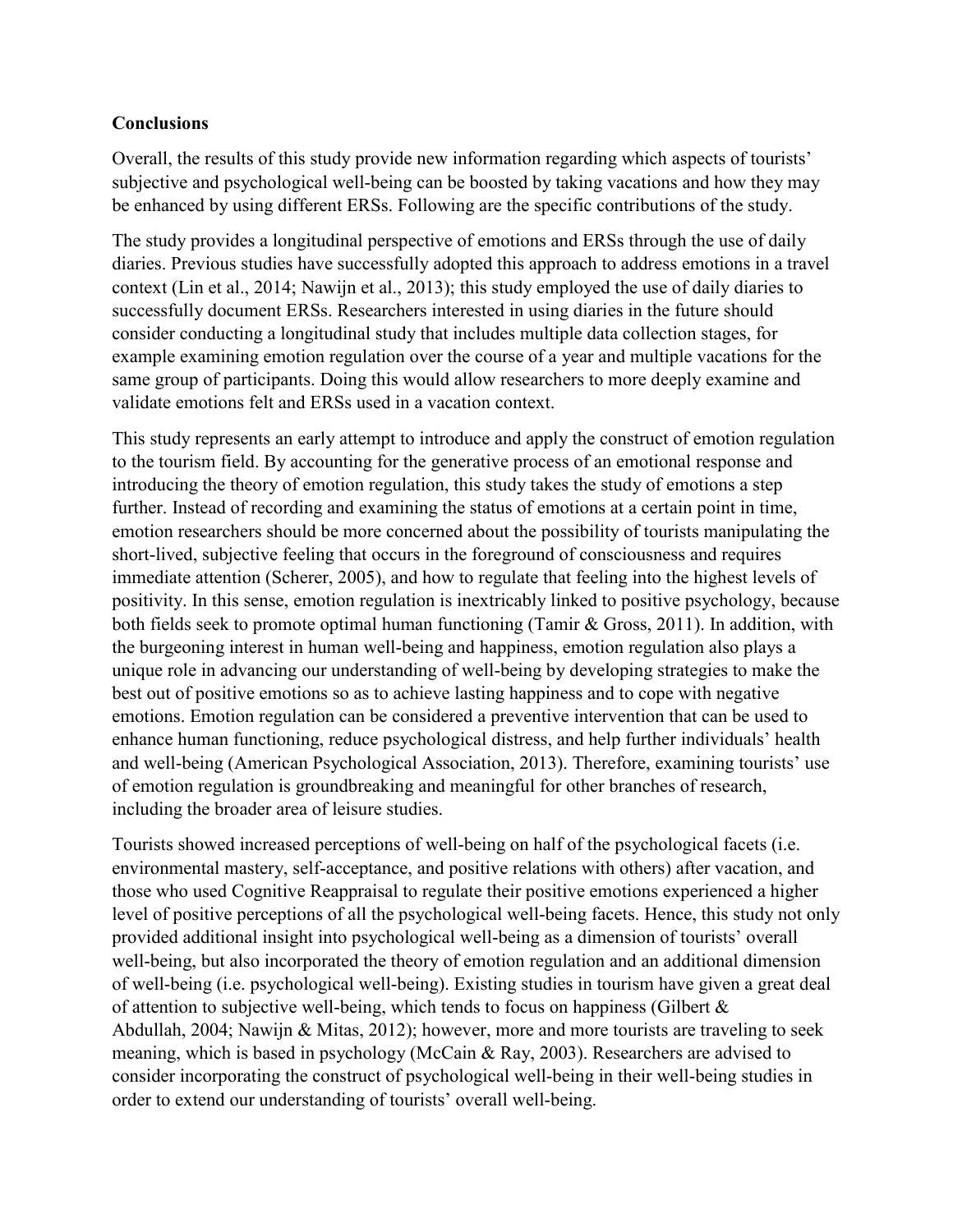### **Conclusions**

Overall, the results of this study provide new information regarding which aspects of tourists' subjective and psychological well-being can be boosted by taking vacations and how they may be enhanced by using different ERSs. Following are the specific contributions of the study.

The study provides a longitudinal perspective of emotions and ERSs through the use of daily diaries. Previous studies have successfully adopted this approach to address emotions in a travel context (Lin et al., 2014; Nawijn et al., 2013); this study employed the use of daily diaries to successfully document ERSs. Researchers interested in using diaries in the future should consider conducting a longitudinal study that includes multiple data collection stages, for example examining emotion regulation over the course of a year and multiple vacations for the same group of participants. Doing this would allow researchers to more deeply examine and validate emotions felt and ERSs used in a vacation context.

This study represents an early attempt to introduce and apply the construct of emotion regulation to the tourism field. By accounting for the generative process of an emotional response and introducing the theory of emotion regulation, this study takes the study of emotions a step further. Instead of recording and examining the status of emotions at a certain point in time, emotion researchers should be more concerned about the possibility of tourists manipulating the short-lived, subjective feeling that occurs in the foreground of consciousness and requires immediate attention (Scherer, 2005), and how to regulate that feeling into the highest levels of positivity. In this sense, emotion regulation is inextricably linked to positive psychology, because both fields seek to promote optimal human functioning (Tamir & Gross, 2011). In addition, with the burgeoning interest in human well-being and happiness, emotion regulation also plays a unique role in advancing our understanding of well-being by developing strategies to make the best out of positive emotions so as to achieve lasting happiness and to cope with negative emotions. Emotion regulation can be considered a preventive intervention that can be used to enhance human functioning, reduce psychological distress, and help further individuals' health and well-being (American Psychological Association, 2013). Therefore, examining tourists' use of emotion regulation is groundbreaking and meaningful for other branches of research, including the broader area of leisure studies.

Tourists showed increased perceptions of well-being on half of the psychological facets (i.e. environmental mastery, self-acceptance, and positive relations with others) after vacation, and those who used Cognitive Reappraisal to regulate their positive emotions experienced a higher level of positive perceptions of all the psychological well-being facets. Hence, this study not only provided additional insight into psychological well-being as a dimension of tourists' overall well-being, but also incorporated the theory of emotion regulation and an additional dimension of well-being (i.e. psychological well-being). Existing studies in tourism have given a great deal of attention to subjective well-being, which tends to focus on happiness (Gilbert & Abdullah, 2004; Nawijn & Mitas, 2012); however, more and more tourists are traveling to seek meaning, which is based in psychology (McCain & Ray, 2003). Researchers are advised to consider incorporating the construct of psychological well-being in their well-being studies in order to extend our understanding of tourists' overall well-being.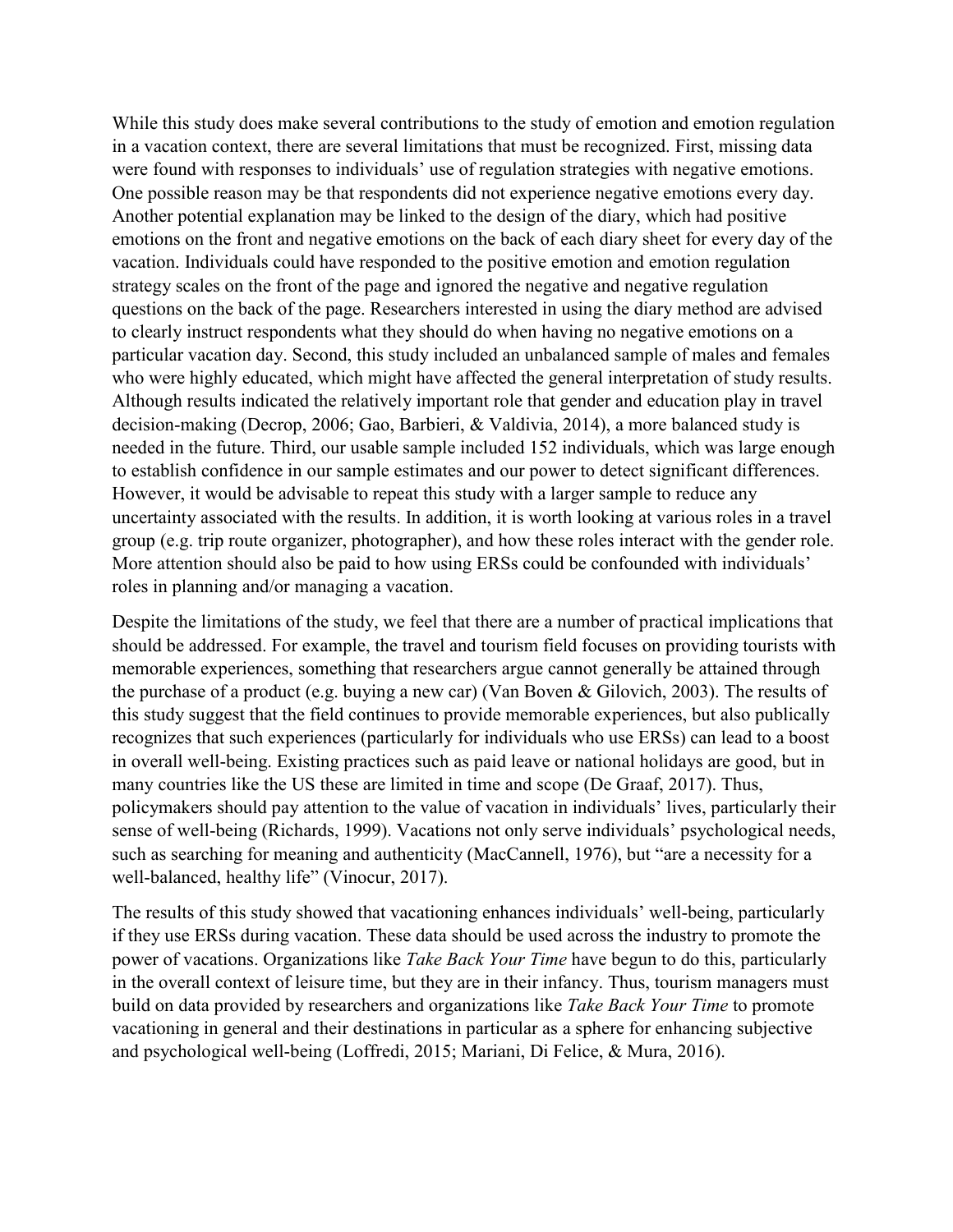While this study does make several contributions to the study of emotion and emotion regulation in a vacation context, there are several limitations that must be recognized. First, missing data were found with responses to individuals' use of regulation strategies with negative emotions. One possible reason may be that respondents did not experience negative emotions every day. Another potential explanation may be linked to the design of the diary, which had positive emotions on the front and negative emotions on the back of each diary sheet for every day of the vacation. Individuals could have responded to the positive emotion and emotion regulation strategy scales on the front of the page and ignored the negative and negative regulation questions on the back of the page. Researchers interested in using the diary method are advised to clearly instruct respondents what they should do when having no negative emotions on a particular vacation day. Second, this study included an unbalanced sample of males and females who were highly educated, which might have affected the general interpretation of study results. Although results indicated the relatively important role that gender and education play in travel decision-making (Decrop, 2006; Gao, Barbieri, & Valdivia, 2014), a more balanced study is needed in the future. Third, our usable sample included 152 individuals, which was large enough to establish confidence in our sample estimates and our power to detect significant differences. However, it would be advisable to repeat this study with a larger sample to reduce any uncertainty associated with the results. In addition, it is worth looking at various roles in a travel group (e.g. trip route organizer, photographer), and how these roles interact with the gender role. More attention should also be paid to how using ERSs could be confounded with individuals' roles in planning and/or managing a vacation.

Despite the limitations of the study, we feel that there are a number of practical implications that should be addressed. For example, the travel and tourism field focuses on providing tourists with memorable experiences, something that researchers argue cannot generally be attained through the purchase of a product (e.g. buying a new car) (Van Boven & Gilovich, 2003). The results of this study suggest that the field continues to provide memorable experiences, but also publically recognizes that such experiences (particularly for individuals who use ERSs) can lead to a boost in overall well-being. Existing practices such as paid leave or national holidays are good, but in many countries like the US these are limited in time and scope (De Graaf, 2017). Thus, policymakers should pay attention to the value of vacation in individuals' lives, particularly their sense of well-being (Richards, 1999). Vacations not only serve individuals' psychological needs, such as searching for meaning and authenticity (MacCannell, 1976), but "are a necessity for a well-balanced, healthy life" (Vinocur, 2017).

The results of this study showed that vacationing enhances individuals' well-being, particularly if they use ERSs during vacation. These data should be used across the industry to promote the power of vacations. Organizations like *Take Back Your Time* have begun to do this, particularly in the overall context of leisure time, but they are in their infancy. Thus, tourism managers must build on data provided by researchers and organizations like *Take Back Your Time* to promote vacationing in general and their destinations in particular as a sphere for enhancing subjective and psychological well-being (Loffredi, 2015; Mariani, Di Felice, & Mura, 2016).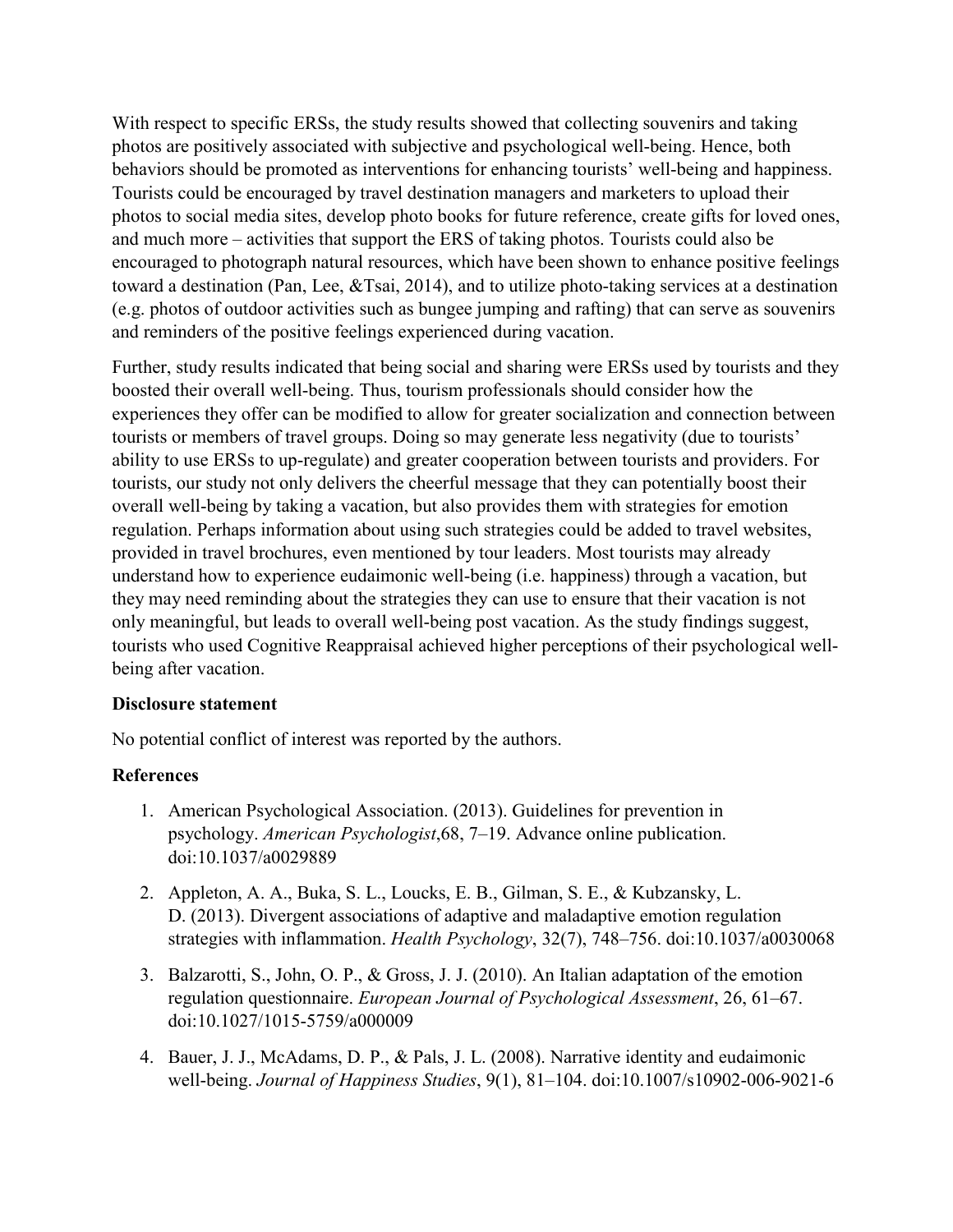With respect to specific ERSs, the study results showed that collecting souvenirs and taking photos are positively associated with subjective and psychological well-being. Hence, both behaviors should be promoted as interventions for enhancing tourists' well-being and happiness. Tourists could be encouraged by travel destination managers and marketers to upload their photos to social media sites, develop photo books for future reference, create gifts for loved ones, and much more – activities that support the ERS of taking photos. Tourists could also be encouraged to photograph natural resources, which have been shown to enhance positive feelings toward a destination (Pan, Lee, &Tsai, 2014), and to utilize photo-taking services at a destination (e.g. photos of outdoor activities such as bungee jumping and rafting) that can serve as souvenirs and reminders of the positive feelings experienced during vacation.

Further, study results indicated that being social and sharing were ERSs used by tourists and they boosted their overall well-being. Thus, tourism professionals should consider how the experiences they offer can be modified to allow for greater socialization and connection between tourists or members of travel groups. Doing so may generate less negativity (due to tourists' ability to use ERSs to up-regulate) and greater cooperation between tourists and providers. For tourists, our study not only delivers the cheerful message that they can potentially boost their overall well-being by taking a vacation, but also provides them with strategies for emotion regulation. Perhaps information about using such strategies could be added to travel websites, provided in travel brochures, even mentioned by tour leaders. Most tourists may already understand how to experience eudaimonic well-being (i.e. happiness) through a vacation, but they may need reminding about the strategies they can use to ensure that their vacation is not only meaningful, but leads to overall well-being post vacation. As the study findings suggest, tourists who used Cognitive Reappraisal achieved higher perceptions of their psychological wellbeing after vacation.

#### **Disclosure statement**

No potential conflict of interest was reported by the authors.

### **References**

- 1. American Psychological Association. (2013). Guidelines for prevention in psychology. *American Psychologist*,68, 7–19. Advance online publication. doi:10.1037/a0029889
- 2. Appleton, A. A., Buka, S. L., Loucks, E. B., Gilman, S. E., & Kubzansky, L. D. (2013). Divergent associations of adaptive and maladaptive emotion regulation strategies with inflammation. *Health Psychology*, 32(7), 748–756. doi:10.1037/a0030068
- 3. Balzarotti, S., John, O. P., & Gross, J. J. (2010). An Italian adaptation of the emotion regulation questionnaire. *European Journal of Psychological Assessment*, 26, 61–67. doi:10.1027/1015-5759/a000009
- 4. Bauer, J. J., McAdams, D. P., & Pals, J. L. (2008). Narrative identity and eudaimonic well-being. *Journal of Happiness Studies*, 9(1), 81–104. doi:10.1007/s10902-006-9021-6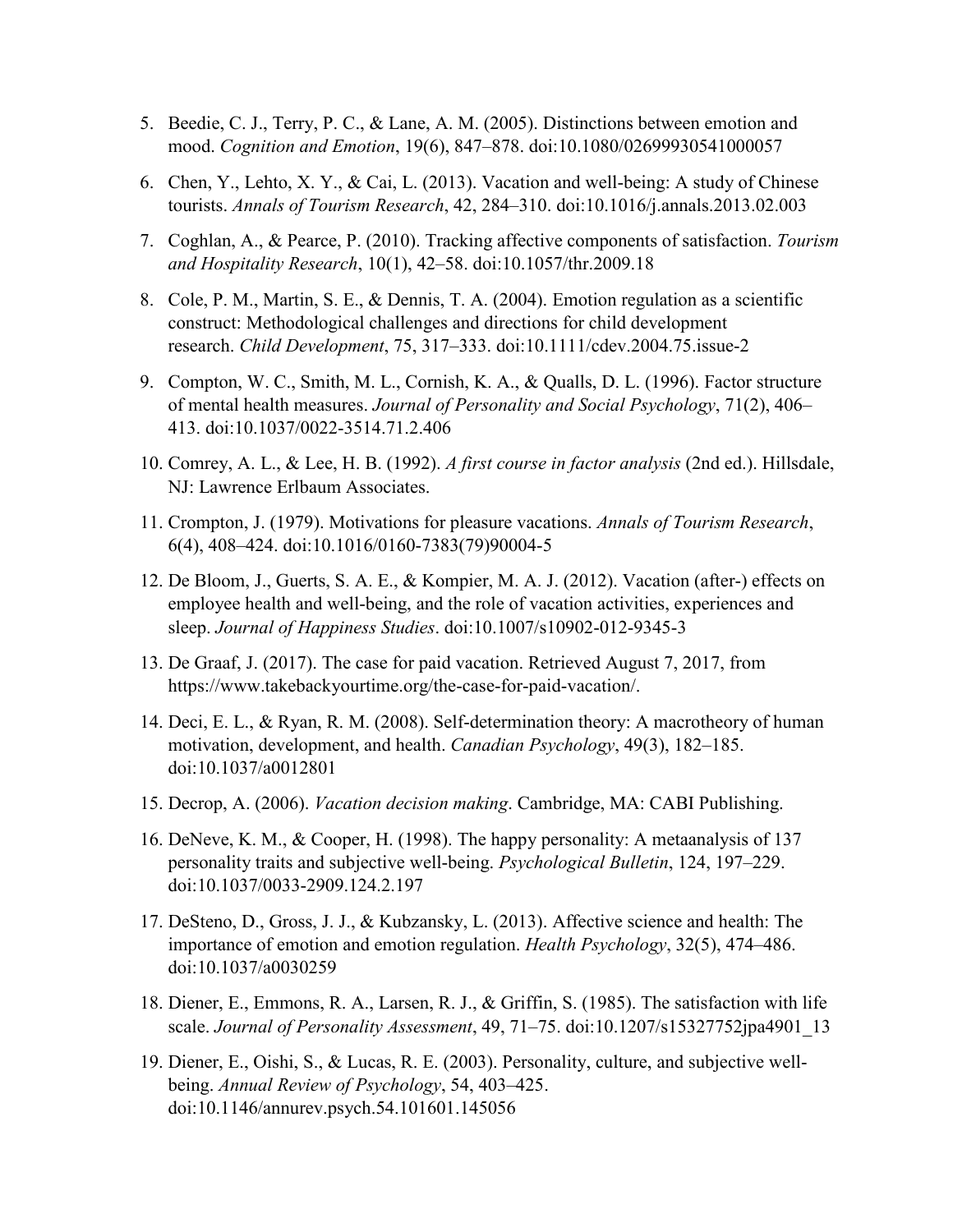- 5. Beedie, C. J., Terry, P. C., & Lane, A. M. (2005). Distinctions between emotion and mood. *Cognition and Emotion*, 19(6), 847–878. doi:10.1080/02699930541000057
- 6. Chen, Y., Lehto, X. Y., & Cai, L. (2013). Vacation and well-being: A study of Chinese tourists. *Annals of Tourism Research*, 42, 284–310. doi:10.1016/j.annals.2013.02.003
- 7. Coghlan, A., & Pearce, P. (2010). Tracking affective components of satisfaction. *Tourism and Hospitality Research*, 10(1), 42–58. doi:10.1057/thr.2009.18
- 8. Cole, P. M., Martin, S. E., & Dennis, T. A. (2004). Emotion regulation as a scientific construct: Methodological challenges and directions for child development research. *Child Development*, 75, 317–333. doi:10.1111/cdev.2004.75.issue-2
- 9. Compton, W. C., Smith, M. L., Cornish, K. A., & Qualls, D. L. (1996). Factor structure of mental health measures. *Journal of Personality and Social Psychology*, 71(2), 406– 413. doi:10.1037/0022-3514.71.2.406
- 10. Comrey, A. L., & Lee, H. B. (1992). *A first course in factor analysis* (2nd ed.). Hillsdale, NJ: Lawrence Erlbaum Associates.
- 11. Crompton, J. (1979). Motivations for pleasure vacations. *Annals of Tourism Research*, 6(4), 408–424. doi:10.1016/0160-7383(79)90004-5
- 12. De Bloom, J., Guerts, S. A. E., & Kompier, M. A. J. (2012). Vacation (after-) effects on employee health and well-being, and the role of vacation activities, experiences and sleep. *Journal of Happiness Studies*. doi:10.1007/s10902-012-9345-3
- 13. De Graaf, J. (2017). The case for paid vacation. Retrieved August 7, 2017, from https://www.takebackyourtime.org/the-case-for-paid-vacation/.
- 14. Deci, E. L., & Ryan, R. M. (2008). Self-determination theory: A macrotheory of human motivation, development, and health. *Canadian Psychology*, 49(3), 182–185. doi:10.1037/a0012801
- 15. Decrop, A. (2006). *Vacation decision making*. Cambridge, MA: CABI Publishing.
- 16. DeNeve, K. M., & Cooper, H. (1998). The happy personality: A metaanalysis of 137 personality traits and subjective well-being. *Psychological Bulletin*, 124, 197–229. doi:10.1037/0033-2909.124.2.197
- 17. DeSteno, D., Gross, J. J., & Kubzansky, L. (2013). Affective science and health: The importance of emotion and emotion regulation. *Health Psychology*, 32(5), 474–486. doi:10.1037/a0030259
- 18. Diener, E., Emmons, R. A., Larsen, R. J., & Griffin, S. (1985). The satisfaction with life scale. *Journal of Personality Assessment*, 49, 71–75. doi:10.1207/s15327752jpa4901\_13
- 19. Diener, E., Oishi, S., & Lucas, R. E. (2003). Personality, culture, and subjective wellbeing. *Annual Review of Psychology*, 54, 403–425. doi:10.1146/annurev.psych.54.101601.145056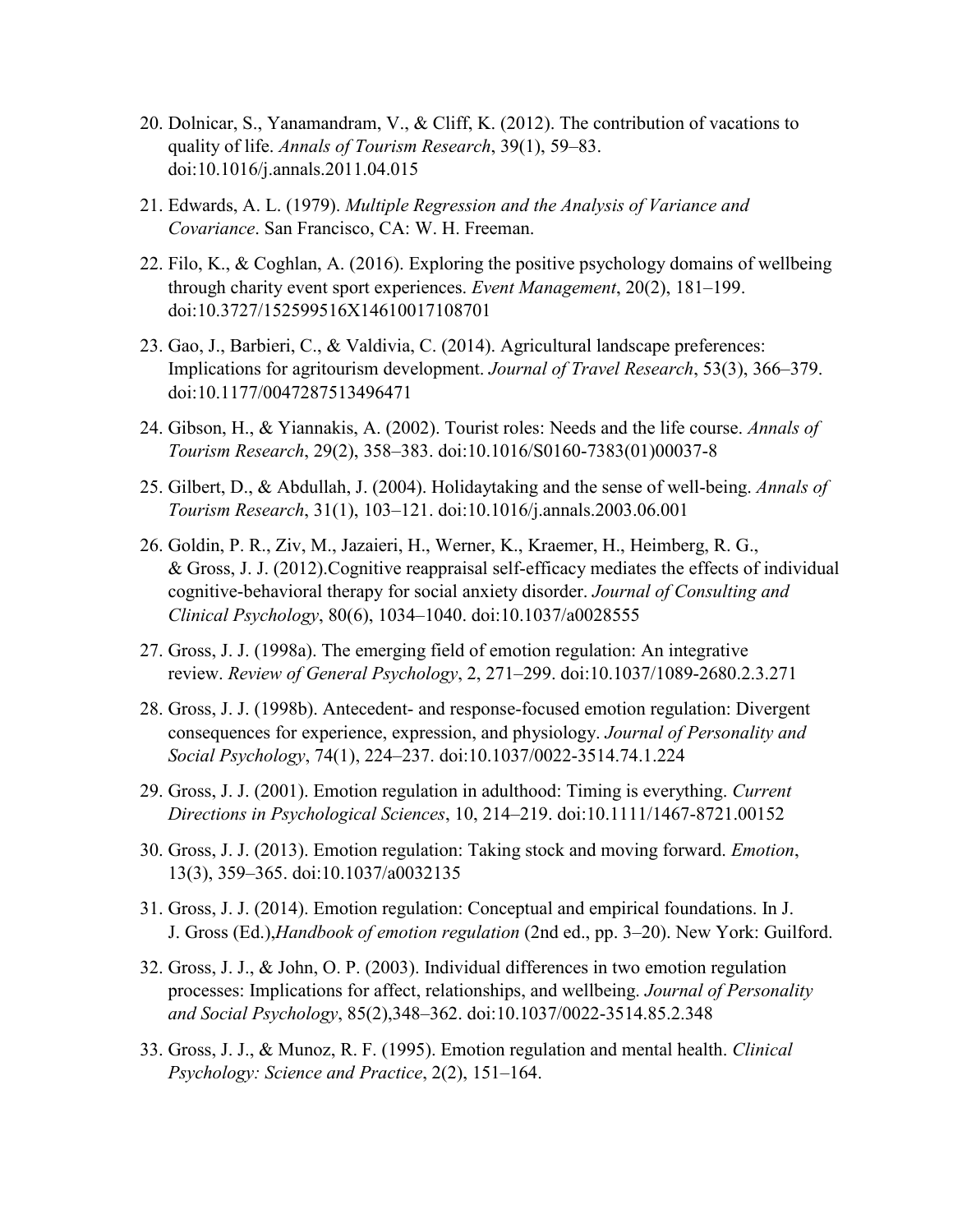- 20. Dolnicar, S., Yanamandram, V., & Cliff, K. (2012). The contribution of vacations to quality of life. *Annals of Tourism Research*, 39(1), 59–83. doi:10.1016/j.annals.2011.04.015
- 21. Edwards, A. L. (1979). *Multiple Regression and the Analysis of Variance and Covariance*. San Francisco, CA: W. H. Freeman.
- 22. Filo, K., & Coghlan, A. (2016). Exploring the positive psychology domains of wellbeing through charity event sport experiences. *Event Management*, 20(2), 181–199. doi:10.3727/152599516X14610017108701
- 23. Gao, J., Barbieri, C., & Valdivia, C. (2014). Agricultural landscape preferences: Implications for agritourism development. *Journal of Travel Research*, 53(3), 366–379. doi:10.1177/0047287513496471
- 24. Gibson, H., & Yiannakis, A. (2002). Tourist roles: Needs and the life course. *Annals of Tourism Research*, 29(2), 358–383. doi:10.1016/S0160-7383(01)00037-8
- 25. Gilbert, D., & Abdullah, J. (2004). Holidaytaking and the sense of well-being. *Annals of Tourism Research*, 31(1), 103–121. doi:10.1016/j.annals.2003.06.001
- 26. Goldin, P. R., Ziv, M., Jazaieri, H., Werner, K., Kraemer, H., Heimberg, R. G., & Gross, J. J. (2012).Cognitive reappraisal self-efficacy mediates the effects of individual cognitive-behavioral therapy for social anxiety disorder. *Journal of Consulting and Clinical Psychology*, 80(6), 1034–1040. doi:10.1037/a0028555
- 27. Gross, J. J. (1998a). The emerging field of emotion regulation: An integrative review. *Review of General Psychology*, 2, 271–299. doi:10.1037/1089-2680.2.3.271
- 28. Gross, J. J. (1998b). Antecedent- and response-focused emotion regulation: Divergent consequences for experience, expression, and physiology. *Journal of Personality and Social Psychology*, 74(1), 224–237. doi:10.1037/0022-3514.74.1.224
- 29. Gross, J. J. (2001). Emotion regulation in adulthood: Timing is everything. *Current Directions in Psychological Sciences*, 10, 214–219. doi:10.1111/1467-8721.00152
- 30. Gross, J. J. (2013). Emotion regulation: Taking stock and moving forward. *Emotion*, 13(3), 359–365. doi:10.1037/a0032135
- 31. Gross, J. J. (2014). Emotion regulation: Conceptual and empirical foundations. In J. J. Gross (Ed.),*Handbook of emotion regulation* (2nd ed., pp. 3–20). New York: Guilford.
- 32. Gross, J. J., & John, O. P. (2003). Individual differences in two emotion regulation processes: Implications for affect, relationships, and wellbeing. *Journal of Personality and Social Psychology*, 85(2),348–362. doi:10.1037/0022-3514.85.2.348
- 33. Gross, J. J., & Munoz, R. F. (1995). Emotion regulation and mental health. *Clinical Psychology: Science and Practice*, 2(2), 151–164.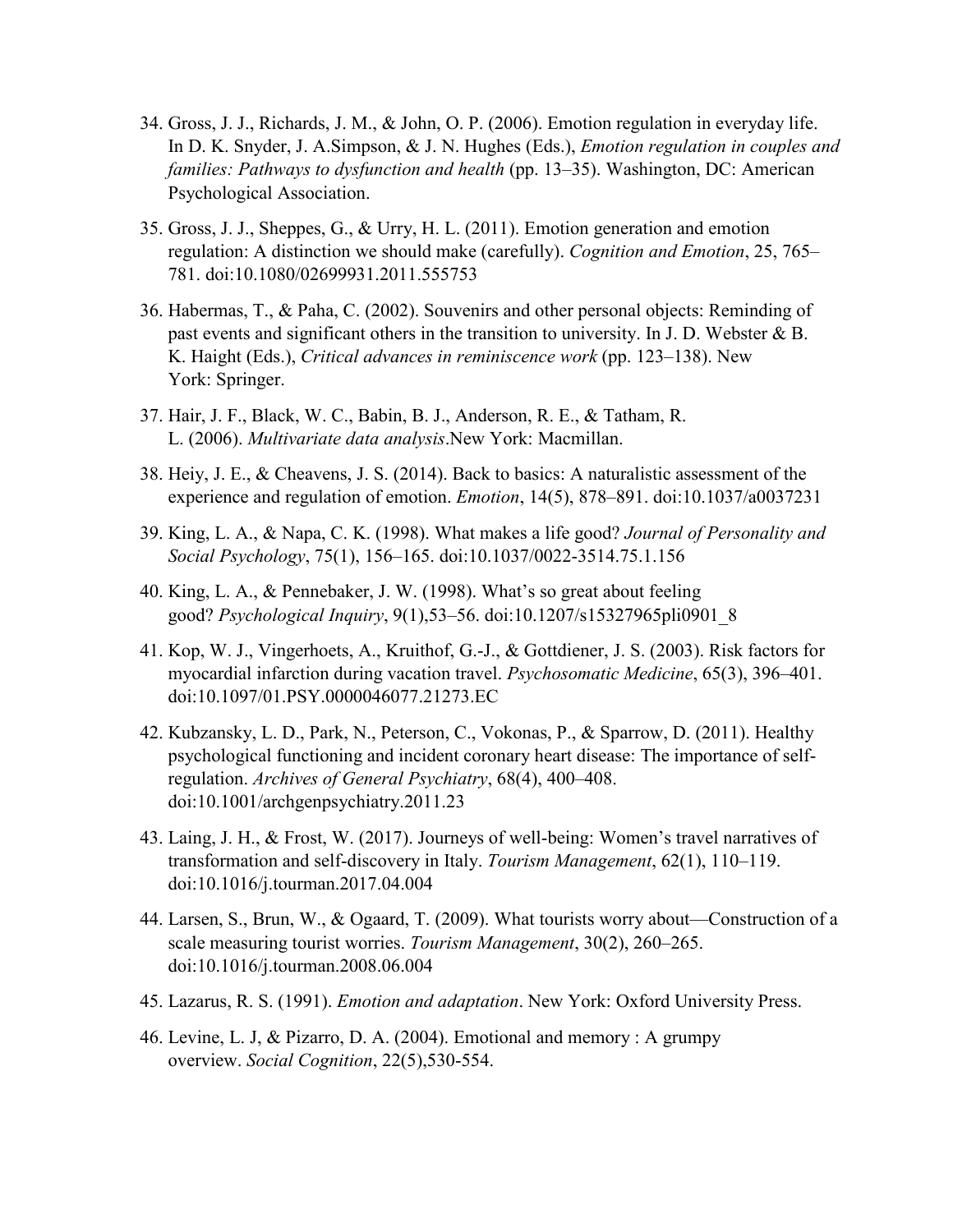- 34. Gross, J. J., Richards, J. M., & John, O. P. (2006). Emotion regulation in everyday life. In D. K. Snyder, J. A.Simpson, & J. N. Hughes (Eds.), *Emotion regulation in couples and families: Pathways to dysfunction and health* (pp. 13–35). Washington, DC: American Psychological Association.
- 35. Gross, J. J., Sheppes, G., & Urry, H. L. (2011). Emotion generation and emotion regulation: A distinction we should make (carefully). *Cognition and Emotion*, 25, 765– 781. doi:10.1080/02699931.2011.555753
- 36. Habermas, T., & Paha, C. (2002). Souvenirs and other personal objects: Reminding of past events and significant others in the transition to university. In J. D. Webster & B. K. Haight (Eds.), *Critical advances in reminiscence work* (pp. 123–138). New York: Springer.
- 37. Hair, J. F., Black, W. C., Babin, B. J., Anderson, R. E., & Tatham, R. L. (2006). *Multivariate data analysis*.New York: Macmillan.
- 38. Heiy, J. E., & Cheavens, J. S. (2014). Back to basics: A naturalistic assessment of the experience and regulation of emotion. *Emotion*, 14(5), 878–891. doi:10.1037/a0037231
- 39. King, L. A., & Napa, C. K. (1998). What makes a life good? *Journal of Personality and Social Psychology*, 75(1), 156–165. doi:10.1037/0022-3514.75.1.156
- 40. King, L. A., & Pennebaker, J. W. (1998). What's so great about feeling good? *Psychological Inquiry*, 9(1),53–56. doi:10.1207/s15327965pli0901\_8
- 41. Kop, W. J., Vingerhoets, A., Kruithof, G.-J., & Gottdiener, J. S. (2003). Risk factors for myocardial infarction during vacation travel. *Psychosomatic Medicine*, 65(3), 396–401. doi:10.1097/01.PSY.0000046077.21273.EC
- 42. Kubzansky, L. D., Park, N., Peterson, C., Vokonas, P., & Sparrow, D. (2011). Healthy psychological functioning and incident coronary heart disease: The importance of selfregulation. *Archives of General Psychiatry*, 68(4), 400–408. doi:10.1001/archgenpsychiatry.2011.23
- 43. Laing, J. H., & Frost, W. (2017). Journeys of well-being: Women's travel narratives of transformation and self-discovery in Italy. *Tourism Management*, 62(1), 110–119. doi:10.1016/j.tourman.2017.04.004
- 44. Larsen, S., Brun, W., & Ogaard, T. (2009). What tourists worry about—Construction of a scale measuring tourist worries. *Tourism Management*, 30(2), 260–265. doi:10.1016/j.tourman.2008.06.004
- 45. Lazarus, R. S. (1991). *Emotion and adaptation*. New York: Oxford University Press.
- 46. Levine, L. J, & Pizarro, D. A. (2004). Emotional and memory : A grumpy overview. *Social Cognition*, 22(5),530-554.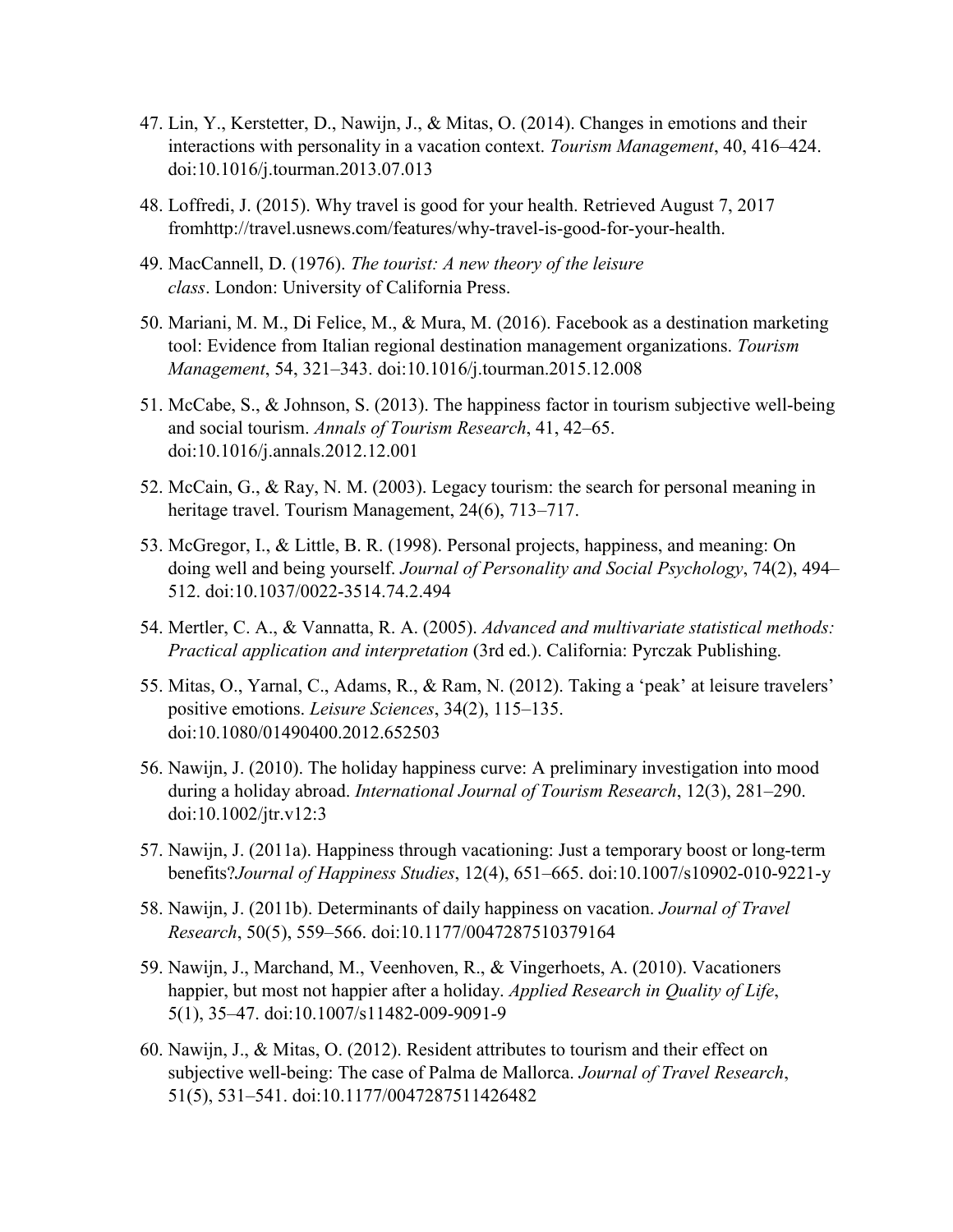- 47. Lin, Y., Kerstetter, D., Nawijn, J., & Mitas, O. (2014). Changes in emotions and their interactions with personality in a vacation context. *Tourism Management*, 40, 416–424. doi:10.1016/j.tourman.2013.07.013
- 48. Loffredi, J. (2015). Why travel is good for your health. Retrieved August 7, 2017 fromhttp://travel.usnews.com/features/why-travel-is-good-for-your-health.
- 49. MacCannell, D. (1976). *The tourist: A new theory of the leisure class*. London: University of California Press.
- 50. Mariani, M. M., Di Felice, M., & Mura, M. (2016). Facebook as a destination marketing tool: Evidence from Italian regional destination management organizations. *Tourism Management*, 54, 321–343. doi:10.1016/j.tourman.2015.12.008
- 51. McCabe, S., & Johnson, S. (2013). The happiness factor in tourism subjective well-being and social tourism. *Annals of Tourism Research*, 41, 42–65. doi:10.1016/j.annals.2012.12.001
- 52. McCain, G., & Ray, N. M. (2003). Legacy tourism: the search for personal meaning in heritage travel. Tourism Management, 24(6), 713–717.
- 53. McGregor, I., & Little, B. R. (1998). Personal projects, happiness, and meaning: On doing well and being yourself. *Journal of Personality and Social Psychology*, 74(2), 494– 512. doi:10.1037/0022-3514.74.2.494
- 54. Mertler, C. A., & Vannatta, R. A. (2005). *Advanced and multivariate statistical methods: Practical application and interpretation* (3rd ed.). California: Pyrczak Publishing.
- 55. Mitas, O., Yarnal, C., Adams, R., & Ram, N. (2012). Taking a 'peak' at leisure travelers' positive emotions. *Leisure Sciences*, 34(2), 115–135. doi:10.1080/01490400.2012.652503
- 56. Nawijn, J. (2010). The holiday happiness curve: A preliminary investigation into mood during a holiday abroad. *International Journal of Tourism Research*, 12(3), 281–290. doi:10.1002/jtr.v12:3
- 57. Nawijn, J. (2011a). Happiness through vacationing: Just a temporary boost or long-term benefits?*Journal of Happiness Studies*, 12(4), 651–665. doi:10.1007/s10902-010-9221-y
- 58. Nawijn, J. (2011b). Determinants of daily happiness on vacation. *Journal of Travel Research*, 50(5), 559–566. doi:10.1177/0047287510379164
- 59. Nawijn, J., Marchand, M., Veenhoven, R., & Vingerhoets, A. (2010). Vacationers happier, but most not happier after a holiday. *Applied Research in Quality of Life*, 5(1), 35–47. doi:10.1007/s11482-009-9091-9
- 60. Nawijn, J., & Mitas, O. (2012). Resident attributes to tourism and their effect on subjective well-being: The case of Palma de Mallorca. *Journal of Travel Research*, 51(5), 531–541. doi:10.1177/0047287511426482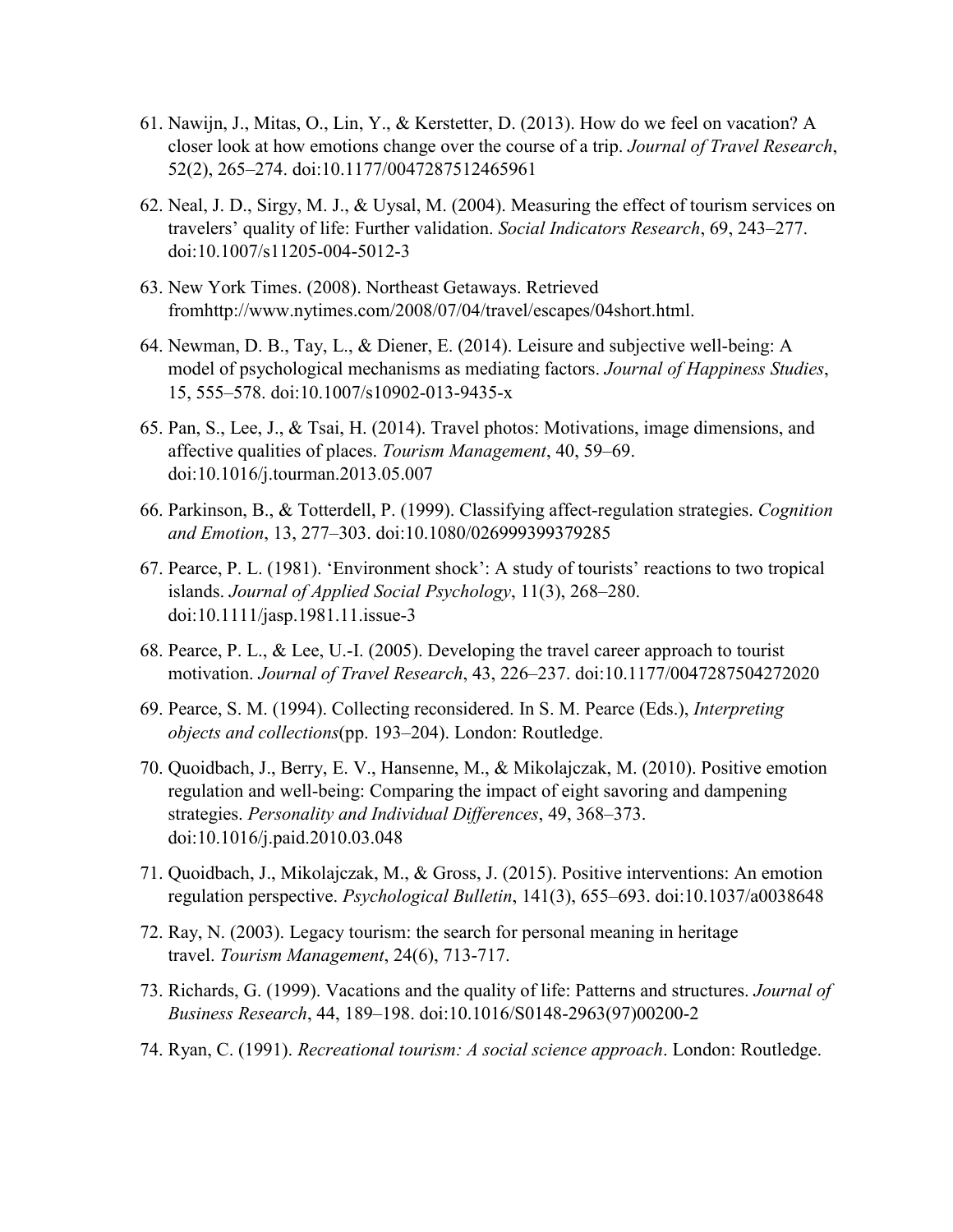- 61. Nawijn, J., Mitas, O., Lin, Y., & Kerstetter, D. (2013). How do we feel on vacation? A closer look at how emotions change over the course of a trip. *Journal of Travel Research*, 52(2), 265–274. doi:10.1177/0047287512465961
- 62. Neal, J. D., Sirgy, M. J., & Uysal, M. (2004). Measuring the effect of tourism services on travelers' quality of life: Further validation. *Social Indicators Research*, 69, 243–277. doi:10.1007/s11205-004-5012-3
- 63. New York Times. (2008). Northeast Getaways. Retrieved fromhttp://www.nytimes.com/2008/07/04/travel/escapes/04short.html.
- 64. Newman, D. B., Tay, L., & Diener, E. (2014). Leisure and subjective well-being: A model of psychological mechanisms as mediating factors. *Journal of Happiness Studies*, 15, 555–578. doi:10.1007/s10902-013-9435-x
- 65. Pan, S., Lee, J., & Tsai, H. (2014). Travel photos: Motivations, image dimensions, and affective qualities of places. *Tourism Management*, 40, 59–69. doi:10.1016/j.tourman.2013.05.007
- 66. Parkinson, B., & Totterdell, P. (1999). Classifying affect-regulation strategies. *Cognition and Emotion*, 13, 277–303. doi:10.1080/026999399379285
- 67. Pearce, P. L. (1981). 'Environment shock': A study of tourists' reactions to two tropical islands. *Journal of Applied Social Psychology*, 11(3), 268–280. doi:10.1111/jasp.1981.11.issue-3
- 68. Pearce, P. L., & Lee, U.-I. (2005). Developing the travel career approach to tourist motivation. *Journal of Travel Research*, 43, 226–237. doi:10.1177/0047287504272020
- 69. Pearce, S. M. (1994). Collecting reconsidered. In S. M. Pearce (Eds.), *Interpreting objects and collections*(pp. 193–204). London: Routledge.
- 70. Quoidbach, J., Berry, E. V., Hansenne, M., & Mikolajczak, M. (2010). Positive emotion regulation and well-being: Comparing the impact of eight savoring and dampening strategies. *Personality and Individual Differences*, 49, 368–373. doi:10.1016/j.paid.2010.03.048
- 71. Quoidbach, J., Mikolajczak, M., & Gross, J. (2015). Positive interventions: An emotion regulation perspective. *Psychological Bulletin*, 141(3), 655–693. doi:10.1037/a0038648
- 72. Ray, N. (2003). Legacy tourism: the search for personal meaning in heritage travel. *Tourism Management*, 24(6), 713-717.
- 73. Richards, G. (1999). Vacations and the quality of life: Patterns and structures. *Journal of Business Research*, 44, 189–198. doi:10.1016/S0148-2963(97)00200-2
- 74. Ryan, C. (1991). *Recreational tourism: A social science approach*. London: Routledge.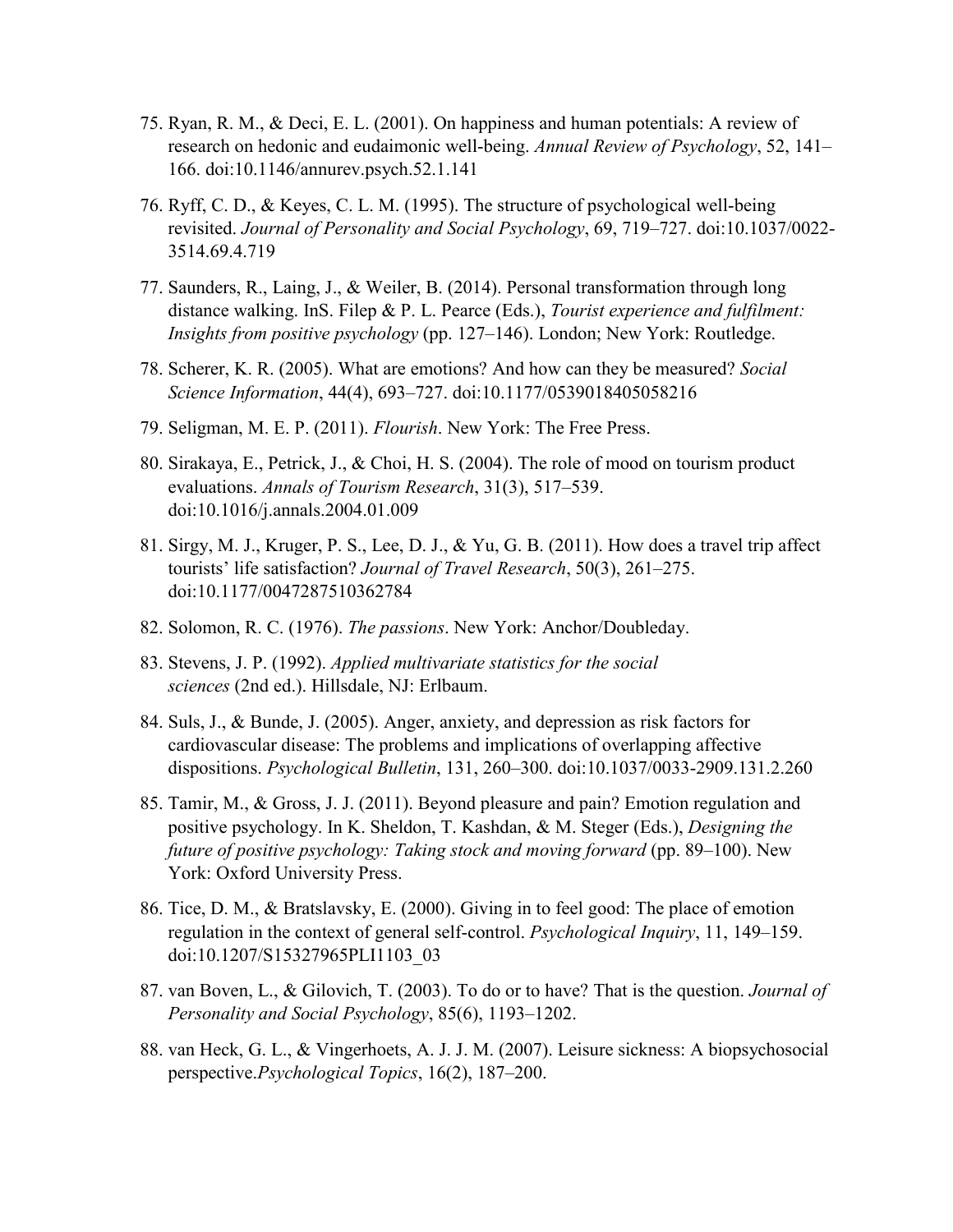- 75. Ryan, R. M., & Deci, E. L. (2001). On happiness and human potentials: A review of research on hedonic and eudaimonic well-being. *Annual Review of Psychology*, 52, 141– 166. doi:10.1146/annurev.psych.52.1.141
- 76. Ryff, C. D., & Keyes, C. L. M. (1995). The structure of psychological well-being revisited. *Journal of Personality and Social Psychology*, 69, 719–727. doi:10.1037/0022- 3514.69.4.719
- 77. Saunders, R., Laing, J., & Weiler, B. (2014). Personal transformation through long distance walking. InS. Filep & P. L. Pearce (Eds.), *Tourist experience and fulfilment: Insights from positive psychology* (pp. 127–146). London; New York: Routledge.
- 78. Scherer, K. R. (2005). What are emotions? And how can they be measured? *Social Science Information*, 44(4), 693–727. doi:10.1177/0539018405058216
- 79. Seligman, M. E. P. (2011). *Flourish*. New York: The Free Press.
- 80. Sirakaya, E., Petrick, J., & Choi, H. S. (2004). The role of mood on tourism product evaluations. *Annals of Tourism Research*, 31(3), 517–539. doi:10.1016/j.annals.2004.01.009
- 81. Sirgy, M. J., Kruger, P. S., Lee, D. J., & Yu, G. B. (2011). How does a travel trip affect tourists' life satisfaction? *Journal of Travel Research*, 50(3), 261–275. doi:10.1177/0047287510362784
- 82. Solomon, R. C. (1976). *The passions*. New York: Anchor/Doubleday.
- 83. Stevens, J. P. (1992). *Applied multivariate statistics for the social sciences* (2nd ed.). Hillsdale, NJ: Erlbaum.
- 84. Suls, J., & Bunde, J. (2005). Anger, anxiety, and depression as risk factors for cardiovascular disease: The problems and implications of overlapping affective dispositions. *Psychological Bulletin*, 131, 260–300. doi:10.1037/0033-2909.131.2.260
- 85. Tamir, M., & Gross, J. J. (2011). Beyond pleasure and pain? Emotion regulation and positive psychology. In K. Sheldon, T. Kashdan, & M. Steger (Eds.), *Designing the future of positive psychology: Taking stock and moving forward* (pp. 89–100). New York: Oxford University Press.
- 86. Tice, D. M., & Bratslavsky, E. (2000). Giving in to feel good: The place of emotion regulation in the context of general self-control. *Psychological Inquiry*, 11, 149–159. doi:10.1207/S15327965PLI1103\_03
- 87. van Boven, L., & Gilovich, T. (2003). To do or to have? That is the question. *Journal of Personality and Social Psychology*, 85(6), 1193–1202.
- 88. van Heck, G. L., & Vingerhoets, A. J. J. M. (2007). Leisure sickness: A biopsychosocial perspective.*Psychological Topics*, 16(2), 187–200.